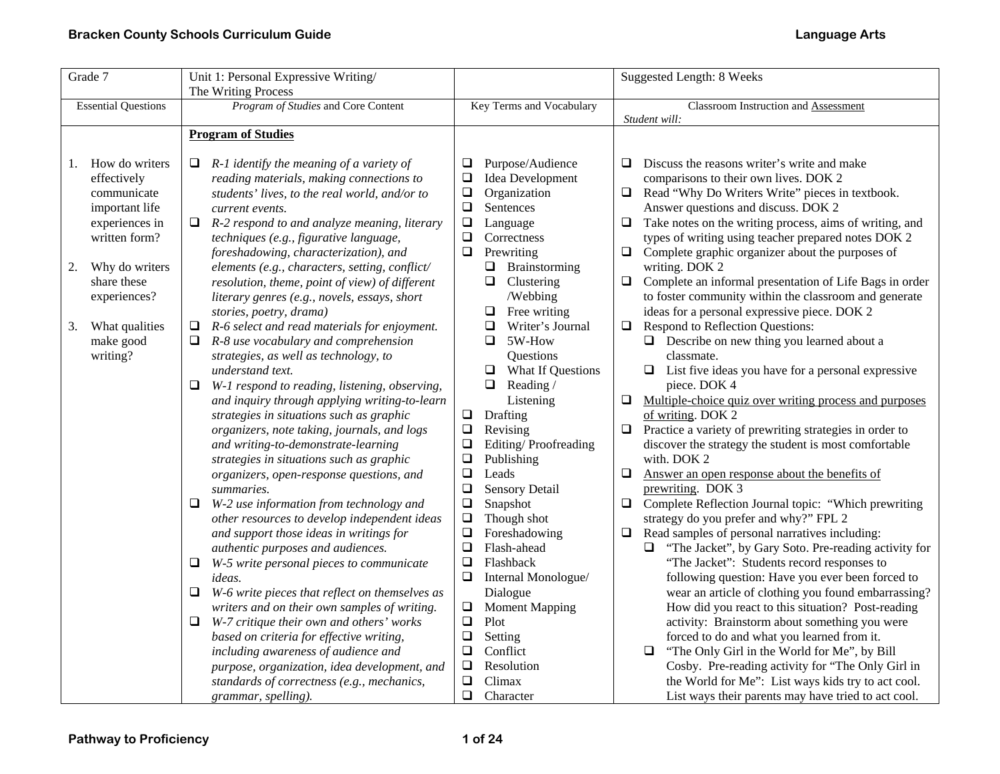| Grade 7                                                                                                                                                                                                         | Unit 1: Personal Expressive Writing/                                                                                                                                                                                                                                                                                                                                                                                                                                                                                                                                                                                                                                                                                                                                                                                                                                                                                                                                                                                                                                                                                                                                                                                                                                                                                                                                                                                                                                                                                        |                                                                                                                                                                                                                                                                                                                                                                                                                                                                                                                                                                                                                                                                                                                                                                                                           | <b>Suggested Length: 8 Weeks</b>                                                                                                                                                                                                                                                                                                                                                                                                                                                                                                                                                                                                                                                                                                                                                                                                                                                                                                                                                                                                                                                                                                                                                                                                                                                                                                                                                                                                                                                                                                                                                                                                                                                                                             |
|-----------------------------------------------------------------------------------------------------------------------------------------------------------------------------------------------------------------|-----------------------------------------------------------------------------------------------------------------------------------------------------------------------------------------------------------------------------------------------------------------------------------------------------------------------------------------------------------------------------------------------------------------------------------------------------------------------------------------------------------------------------------------------------------------------------------------------------------------------------------------------------------------------------------------------------------------------------------------------------------------------------------------------------------------------------------------------------------------------------------------------------------------------------------------------------------------------------------------------------------------------------------------------------------------------------------------------------------------------------------------------------------------------------------------------------------------------------------------------------------------------------------------------------------------------------------------------------------------------------------------------------------------------------------------------------------------------------------------------------------------------------|-----------------------------------------------------------------------------------------------------------------------------------------------------------------------------------------------------------------------------------------------------------------------------------------------------------------------------------------------------------------------------------------------------------------------------------------------------------------------------------------------------------------------------------------------------------------------------------------------------------------------------------------------------------------------------------------------------------------------------------------------------------------------------------------------------------|------------------------------------------------------------------------------------------------------------------------------------------------------------------------------------------------------------------------------------------------------------------------------------------------------------------------------------------------------------------------------------------------------------------------------------------------------------------------------------------------------------------------------------------------------------------------------------------------------------------------------------------------------------------------------------------------------------------------------------------------------------------------------------------------------------------------------------------------------------------------------------------------------------------------------------------------------------------------------------------------------------------------------------------------------------------------------------------------------------------------------------------------------------------------------------------------------------------------------------------------------------------------------------------------------------------------------------------------------------------------------------------------------------------------------------------------------------------------------------------------------------------------------------------------------------------------------------------------------------------------------------------------------------------------------------------------------------------------------|
|                                                                                                                                                                                                                 | The Writing Process                                                                                                                                                                                                                                                                                                                                                                                                                                                                                                                                                                                                                                                                                                                                                                                                                                                                                                                                                                                                                                                                                                                                                                                                                                                                                                                                                                                                                                                                                                         |                                                                                                                                                                                                                                                                                                                                                                                                                                                                                                                                                                                                                                                                                                                                                                                                           |                                                                                                                                                                                                                                                                                                                                                                                                                                                                                                                                                                                                                                                                                                                                                                                                                                                                                                                                                                                                                                                                                                                                                                                                                                                                                                                                                                                                                                                                                                                                                                                                                                                                                                                              |
| <b>Essential Questions</b>                                                                                                                                                                                      | Program of Studies and Core Content                                                                                                                                                                                                                                                                                                                                                                                                                                                                                                                                                                                                                                                                                                                                                                                                                                                                                                                                                                                                                                                                                                                                                                                                                                                                                                                                                                                                                                                                                         | Key Terms and Vocabulary                                                                                                                                                                                                                                                                                                                                                                                                                                                                                                                                                                                                                                                                                                                                                                                  | Classroom Instruction and Assessment                                                                                                                                                                                                                                                                                                                                                                                                                                                                                                                                                                                                                                                                                                                                                                                                                                                                                                                                                                                                                                                                                                                                                                                                                                                                                                                                                                                                                                                                                                                                                                                                                                                                                         |
|                                                                                                                                                                                                                 |                                                                                                                                                                                                                                                                                                                                                                                                                                                                                                                                                                                                                                                                                                                                                                                                                                                                                                                                                                                                                                                                                                                                                                                                                                                                                                                                                                                                                                                                                                                             |                                                                                                                                                                                                                                                                                                                                                                                                                                                                                                                                                                                                                                                                                                                                                                                                           | Student will:                                                                                                                                                                                                                                                                                                                                                                                                                                                                                                                                                                                                                                                                                                                                                                                                                                                                                                                                                                                                                                                                                                                                                                                                                                                                                                                                                                                                                                                                                                                                                                                                                                                                                                                |
|                                                                                                                                                                                                                 |                                                                                                                                                                                                                                                                                                                                                                                                                                                                                                                                                                                                                                                                                                                                                                                                                                                                                                                                                                                                                                                                                                                                                                                                                                                                                                                                                                                                                                                                                                                             |                                                                                                                                                                                                                                                                                                                                                                                                                                                                                                                                                                                                                                                                                                                                                                                                           |                                                                                                                                                                                                                                                                                                                                                                                                                                                                                                                                                                                                                                                                                                                                                                                                                                                                                                                                                                                                                                                                                                                                                                                                                                                                                                                                                                                                                                                                                                                                                                                                                                                                                                                              |
| How do writers<br>1.<br>effectively<br>communicate<br>important life<br>experiences in<br>written form?<br>Why do writers<br>2.<br>share these<br>experiences?<br>What qualities<br>3.<br>make good<br>writing? | <b>Program of Studies</b><br>$R-1$ identify the meaning of a variety of<br>u<br>reading materials, making connections to<br>students' lives, to the real world, and/or to<br>current events.<br>$\Box$ R-2 respond to and analyze meaning, literary<br>techniques (e.g., figurative language,<br>foreshadowing, characterization), and<br>elements (e.g., characters, setting, conflict/<br>resolution, theme, point of view) of different<br>literary genres (e.g., novels, essays, short<br>stories, poetry, drama)<br>$\Box$<br>R-6 select and read materials for enjoyment.<br>R-8 use vocabulary and comprehension<br>strategies, as well as technology, to<br>understand text.<br>W-1 respond to reading, listening, observing,<br>❏<br>and inquiry through applying writing-to-learn<br>strategies in situations such as graphic<br>organizers, note taking, journals, and logs<br>and writing-to-demonstrate-learning<br>strategies in situations such as graphic<br>organizers, open-response questions, and<br>summaries.<br>W-2 use information from technology and<br>other resources to develop independent ideas<br>and support those ideas in writings for<br>authentic purposes and audiences.<br>W-5 write personal pieces to communicate<br>⊔<br><i>ideas.</i><br>W-6 write pieces that reflect on themselves as<br>⊔<br>writers and on their own samples of writing.<br>W-7 critique their own and others' works<br>⊔<br>based on criteria for effective writing,<br>including awareness of audience and | Purpose/Audience<br>❏<br>❏<br>Idea Development<br>$\Box$<br>Organization<br>$\Box$<br>Sentences<br>$\Box$<br>Language<br>$\Box$<br>Correctness<br>Prewriting<br>$\Box$<br>$\Box$ Brainstorming<br>$\Box$ Clustering<br>/Webbing<br>0<br>Free writing<br>$\Box$<br>Writer's Journal<br>$\Box$<br>5W-How<br>Questions<br>$\Box$ What If Questions<br>$\Box$<br>Reading/<br>Listening<br>$\Box$<br>Drafting<br>$\Box$<br>Revising<br>$\Box$<br>Editing/Proofreading<br>$\Box$<br>Publishing<br>$\Box$<br>Leads<br>$\Box$<br>Sensory Detail<br>$\Box$<br>Snapshot<br>$\Box$<br>Though shot<br>$\Box$<br>Foreshadowing<br>$\Box$<br>Flash-ahead<br>$\Box$<br>Flashback<br>❏<br>Internal Monologue/<br>Dialogue<br>$\Box$<br><b>Moment Mapping</b><br>$\Box$<br>Plot<br>$\Box$<br>Setting<br>$\Box$<br>Conflict | Discuss the reasons writer's write and make<br>Q.<br>comparisons to their own lives. DOK 2<br>Read "Why Do Writers Write" pieces in textbook.<br>$\Box$<br>Answer questions and discuss. DOK 2<br>Take notes on the writing process, aims of writing, and<br>$\Box$<br>types of writing using teacher prepared notes DOK 2<br>Complete graphic organizer about the purposes of<br>$\Box$<br>writing. DOK 2<br>$\Box$<br>Complete an informal presentation of Life Bags in order<br>to foster community within the classroom and generate<br>ideas for a personal expressive piece. DOK 2<br>Respond to Reflection Questions:<br>$\Box$<br>$\Box$ Describe on new thing you learned about a<br>classmate.<br>$\Box$ List five ideas you have for a personal expressive<br>piece. DOK 4<br>$\Box$<br>Multiple-choice quiz over writing process and purposes<br>of writing. DOK 2<br>Practice a variety of prewriting strategies in order to<br>$\Box$<br>discover the strategy the student is most comfortable<br>with. DOK 2<br>$\Box$<br>Answer an open response about the benefits of<br>prewriting. DOK 3<br>Complete Reflection Journal topic: "Which prewriting<br>$\Box$<br>strategy do you prefer and why?" FPL 2<br>Read samples of personal narratives including:<br>$\Box$<br>"The Jacket", by Gary Soto. Pre-reading activity for<br>$\Box$<br>"The Jacket": Students record responses to<br>following question: Have you ever been forced to<br>wear an article of clothing you found embarrassing?<br>How did you react to this situation? Post-reading<br>activity: Brainstorm about something you were<br>forced to do and what you learned from it.<br>$\Box$<br>"The Only Girl in the World for Me", by Bill |
|                                                                                                                                                                                                                 | purpose, organization, idea development, and                                                                                                                                                                                                                                                                                                                                                                                                                                                                                                                                                                                                                                                                                                                                                                                                                                                                                                                                                                                                                                                                                                                                                                                                                                                                                                                                                                                                                                                                                | ❏<br>Resolution                                                                                                                                                                                                                                                                                                                                                                                                                                                                                                                                                                                                                                                                                                                                                                                           | Cosby. Pre-reading activity for "The Only Girl in                                                                                                                                                                                                                                                                                                                                                                                                                                                                                                                                                                                                                                                                                                                                                                                                                                                                                                                                                                                                                                                                                                                                                                                                                                                                                                                                                                                                                                                                                                                                                                                                                                                                            |
|                                                                                                                                                                                                                 | standards of correctness (e.g., mechanics,                                                                                                                                                                                                                                                                                                                                                                                                                                                                                                                                                                                                                                                                                                                                                                                                                                                                                                                                                                                                                                                                                                                                                                                                                                                                                                                                                                                                                                                                                  | $\Box$<br>Climax                                                                                                                                                                                                                                                                                                                                                                                                                                                                                                                                                                                                                                                                                                                                                                                          | the World for Me": List ways kids try to act cool.                                                                                                                                                                                                                                                                                                                                                                                                                                                                                                                                                                                                                                                                                                                                                                                                                                                                                                                                                                                                                                                                                                                                                                                                                                                                                                                                                                                                                                                                                                                                                                                                                                                                           |
|                                                                                                                                                                                                                 | grammar, spelling).                                                                                                                                                                                                                                                                                                                                                                                                                                                                                                                                                                                                                                                                                                                                                                                                                                                                                                                                                                                                                                                                                                                                                                                                                                                                                                                                                                                                                                                                                                         | $\Box$<br>Character                                                                                                                                                                                                                                                                                                                                                                                                                                                                                                                                                                                                                                                                                                                                                                                       | List ways their parents may have tried to act cool.                                                                                                                                                                                                                                                                                                                                                                                                                                                                                                                                                                                                                                                                                                                                                                                                                                                                                                                                                                                                                                                                                                                                                                                                                                                                                                                                                                                                                                                                                                                                                                                                                                                                          |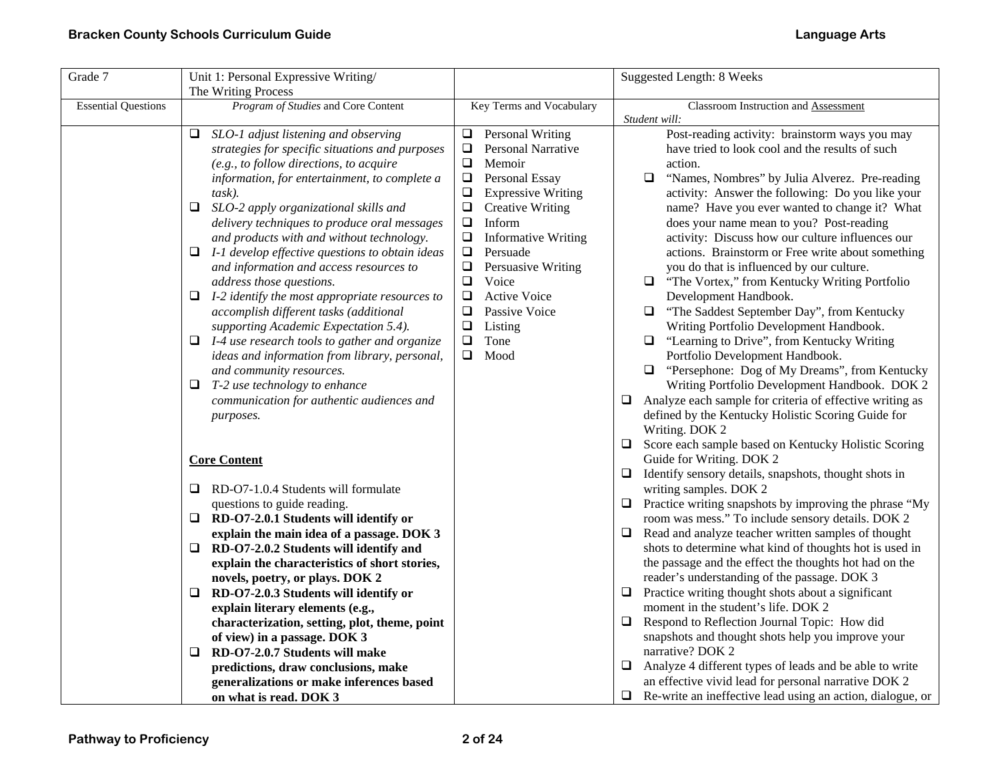| Grade 7                    | Unit 1: Personal Expressive Writing/                  |                                      | Suggested Length: 8 Weeks                                                             |
|----------------------------|-------------------------------------------------------|--------------------------------------|---------------------------------------------------------------------------------------|
|                            | The Writing Process                                   |                                      |                                                                                       |
| <b>Essential Questions</b> | Program of Studies and Core Content                   | Key Terms and Vocabulary             | Classroom Instruction and Assessment                                                  |
|                            |                                                       |                                      | Student will:                                                                         |
|                            | SLO-1 adjust listening and observing<br>❏             | <b>Personal Writing</b><br>$\Box$    | Post-reading activity: brainstorm ways you may                                        |
|                            | strategies for specific situations and purposes       | ❏<br>Personal Narrative              | have tried to look cool and the results of such                                       |
|                            | (e.g., to follow directions, to acquire               | $\Box$<br>Memoir                     | action.                                                                               |
|                            | information, for entertainment, to complete a         | $\Box$<br>Personal Essay             | $\Box$<br>"Names, Nombres" by Julia Alverez. Pre-reading                              |
|                            | task).                                                | $\Box$<br><b>Expressive Writing</b>  | activity: Answer the following: Do you like your                                      |
|                            | SLO-2 apply organizational skills and<br>Q.           | ❏<br><b>Creative Writing</b>         | name? Have you ever wanted to change it? What                                         |
|                            | delivery techniques to produce oral messages          | $\Box$<br>Inform                     | does your name mean to you? Post-reading                                              |
|                            | and products with and without technology.             | $\Box$<br><b>Informative Writing</b> | activity: Discuss how our culture influences our                                      |
|                            | I-1 develop effective questions to obtain ideas<br>Q. | $\Box$<br>Persuade                   | actions. Brainstorm or Free write about something                                     |
|                            | and information and access resources to               | $\Box$<br>Persuasive Writing         | you do that is influenced by our culture.                                             |
|                            | address those questions.                              | $\Box$<br>Voice                      | "The Vortex," from Kentucky Writing Portfolio                                         |
|                            | $\Box$ I-2 identify the most appropriate resources to | $\Box$<br><b>Active Voice</b>        | Development Handbook.                                                                 |
|                            | accomplish different tasks (additional                | ❏<br>Passive Voice                   | "The Saddest September Day", from Kentucky<br>⊔                                       |
|                            | supporting Academic Expectation 5.4).                 | $\Box$<br>Listing                    | Writing Portfolio Development Handbook.                                               |
|                            | $\Box$ I-4 use research tools to gather and organize  | $\Box$<br>Tone                       | "Learning to Drive", from Kentucky Writing                                            |
|                            | ideas and information from library, personal,         | Mood<br>0                            | Portfolio Development Handbook.                                                       |
|                            | and community resources.                              |                                      | "Persephone: Dog of My Dreams", from Kentucky<br>□                                    |
|                            | T-2 use technology to enhance<br>Q.                   |                                      | Writing Portfolio Development Handbook. DOK 2                                         |
|                            | communication for authentic audiences and             |                                      | Analyze each sample for criteria of effective writing as<br>❏                         |
|                            | purposes.                                             |                                      | defined by the Kentucky Holistic Scoring Guide for                                    |
|                            |                                                       |                                      | Writing. DOK 2                                                                        |
|                            | <b>Core Content</b>                                   |                                      | Score each sample based on Kentucky Holistic Scoring<br>⊔<br>Guide for Writing. DOK 2 |
|                            |                                                       |                                      | Identify sensory details, snapshots, thought shots in<br>⊔                            |
|                            | $\Box$<br>RD-O7-1.0.4 Students will formulate         |                                      | writing samples. DOK 2                                                                |
|                            | questions to guide reading.                           |                                      | Practice writing snapshots by improving the phrase "My<br>$\Box$                      |
|                            | RD-O7-2.0.1 Students will identify or<br>Q.           |                                      | room was mess." To include sensory details. DOK 2                                     |
|                            | explain the main idea of a passage. DOK 3             |                                      | Read and analyze teacher written samples of thought<br>⊔                              |
|                            | RD-O7-2.0.2 Students will identify and<br>u           |                                      | shots to determine what kind of thoughts hot is used in                               |
|                            | explain the characteristics of short stories,         |                                      | the passage and the effect the thoughts hot had on the                                |
|                            | novels, poetry, or plays. DOK 2                       |                                      | reader's understanding of the passage. DOK 3                                          |
|                            | $\Box$ RD-O7-2.0.3 Students will identify or          |                                      | Practice writing thought shots about a significant<br>❏                               |
|                            | explain literary elements (e.g.,                      |                                      | moment in the student's life. DOK 2                                                   |
|                            | characterization, setting, plot, theme, point         |                                      | Respond to Reflection Journal Topic: How did<br>⊔                                     |
|                            | of view) in a passage. DOK 3                          |                                      | snapshots and thought shots help you improve your                                     |
|                            | RD-O7-2.0.7 Students will make<br>⊔                   |                                      | narrative? DOK 2                                                                      |
|                            | predictions, draw conclusions, make                   |                                      | Analyze 4 different types of leads and be able to write<br>❏                          |
|                            | generalizations or make inferences based              |                                      | an effective vivid lead for personal narrative DOK 2                                  |
|                            | on what is read. DOK 3                                |                                      | Re-write an ineffective lead using an action, dialogue, or<br>⊔                       |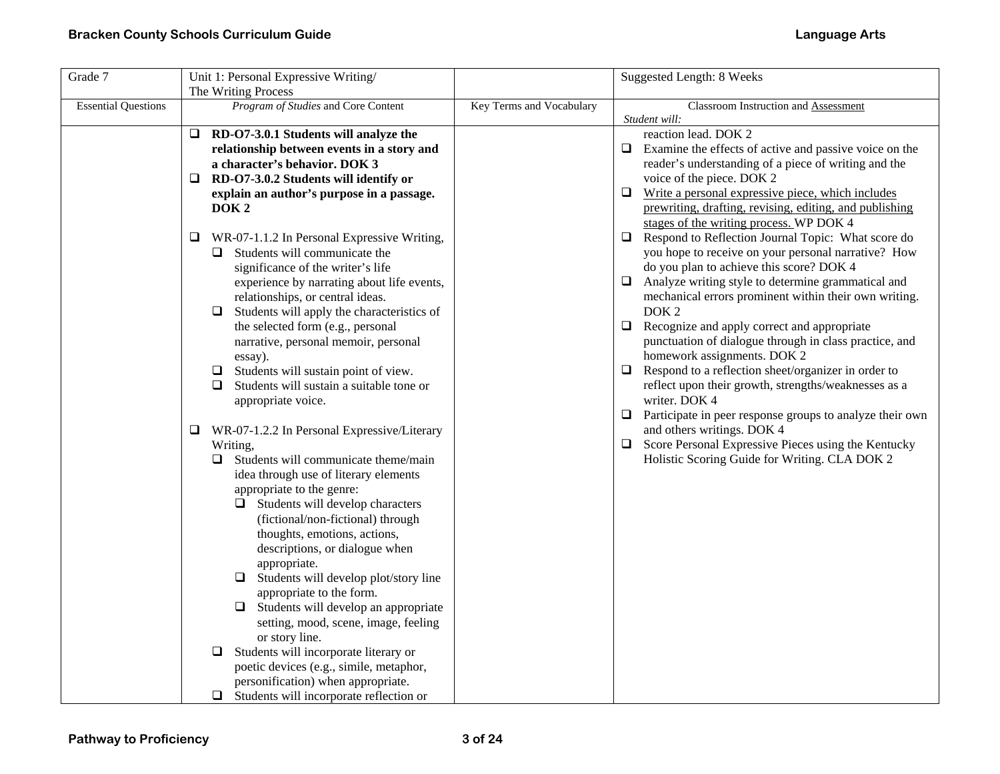| Grade 7                    | Unit 1: Personal Expressive Writing/                                                                                                                                                                                                                                                                                                                                                                                                                                                                                                                                                                         |                          | <b>Suggested Length: 8 Weeks</b>                                                                                                                                                                                                                                                                                                                                                                                                                                                                                                                                                                                                                                                         |
|----------------------------|--------------------------------------------------------------------------------------------------------------------------------------------------------------------------------------------------------------------------------------------------------------------------------------------------------------------------------------------------------------------------------------------------------------------------------------------------------------------------------------------------------------------------------------------------------------------------------------------------------------|--------------------------|------------------------------------------------------------------------------------------------------------------------------------------------------------------------------------------------------------------------------------------------------------------------------------------------------------------------------------------------------------------------------------------------------------------------------------------------------------------------------------------------------------------------------------------------------------------------------------------------------------------------------------------------------------------------------------------|
|                            | The Writing Process                                                                                                                                                                                                                                                                                                                                                                                                                                                                                                                                                                                          |                          |                                                                                                                                                                                                                                                                                                                                                                                                                                                                                                                                                                                                                                                                                          |
| <b>Essential Questions</b> | Program of Studies and Core Content                                                                                                                                                                                                                                                                                                                                                                                                                                                                                                                                                                          | Key Terms and Vocabulary | Classroom Instruction and Assessment<br>Student will:                                                                                                                                                                                                                                                                                                                                                                                                                                                                                                                                                                                                                                    |
|                            | $\Box$ RD-O7-3.0.1 Students will analyze the<br>relationship between events in a story and<br>a character's behavior. DOK 3<br>RD-O7-3.0.2 Students will identify or<br>Q.<br>explain an author's purpose in a passage.                                                                                                                                                                                                                                                                                                                                                                                      |                          | reaction lead. DOK 2<br>Examine the effects of active and passive voice on the<br>□<br>reader's understanding of a piece of writing and the<br>voice of the piece. DOK 2<br>Write a personal expressive piece, which includes<br>□                                                                                                                                                                                                                                                                                                                                                                                                                                                       |
|                            | DOK <sub>2</sub><br>WR-07-1.1.2 In Personal Expressive Writing,<br>⊔<br>Students will communicate the<br>significance of the writer's life<br>experience by narrating about life events,<br>relationships, or central ideas.<br>Students will apply the characteristics of<br>❏<br>the selected form (e.g., personal<br>narrative, personal memoir, personal<br>essay).<br>Students will sustain point of view.<br>$\Box$<br>$\Box$<br>Students will sustain a suitable tone or                                                                                                                              |                          | prewriting, drafting, revising, editing, and publishing<br>stages of the writing process. WP DOK 4<br>Respond to Reflection Journal Topic: What score do<br>$\Box$<br>you hope to receive on your personal narrative? How<br>do you plan to achieve this score? DOK 4<br>Analyze writing style to determine grammatical and<br>□<br>mechanical errors prominent within their own writing.<br>DOK <sub>2</sub><br>$\Box$<br>Recognize and apply correct and appropriate<br>punctuation of dialogue through in class practice, and<br>homework assignments. DOK 2<br>Respond to a reflection sheet/organizer in order to<br>$\Box$<br>reflect upon their growth, strengths/weaknesses as a |
|                            | appropriate voice.<br>WR-07-1.2.2 In Personal Expressive/Literary<br>Q.<br>Writing,<br>Students will communicate theme/main<br>❏<br>idea through use of literary elements<br>appropriate to the genre:<br>$\Box$ Students will develop characters<br>(fictional/non-fictional) through<br>thoughts, emotions, actions,<br>descriptions, or dialogue when<br>appropriate.<br>Students will develop plot/story line<br>⊔<br>appropriate to the form.<br>$\Box$<br>Students will develop an appropriate<br>setting, mood, scene, image, feeling<br>or story line.<br>Students will incorporate literary or<br>□ |                          | writer. DOK 4<br>$\Box$ Participate in peer response groups to analyze their own<br>and others writings. DOK 4<br>Score Personal Expressive Pieces using the Kentucky<br>□<br>Holistic Scoring Guide for Writing. CLA DOK 2                                                                                                                                                                                                                                                                                                                                                                                                                                                              |
|                            | poetic devices (e.g., simile, metaphor,<br>personification) when appropriate.<br>Students will incorporate reflection or                                                                                                                                                                                                                                                                                                                                                                                                                                                                                     |                          |                                                                                                                                                                                                                                                                                                                                                                                                                                                                                                                                                                                                                                                                                          |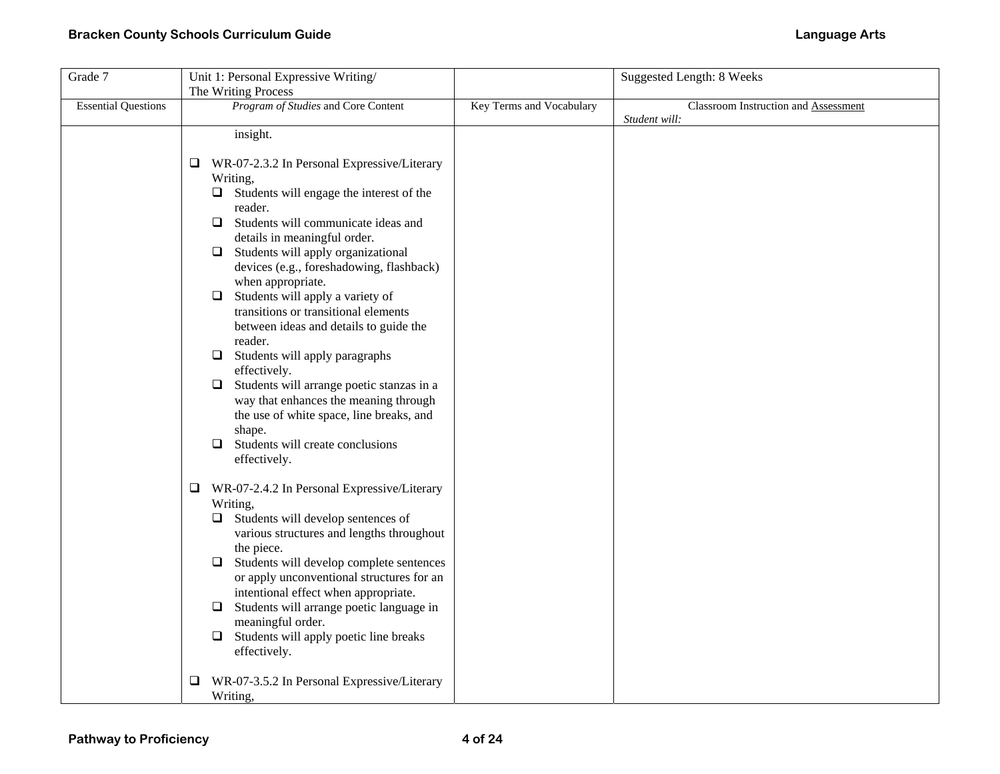| Grade 7                    | Unit 1: Personal Expressive Writing/                             |                          | <b>Suggested Length: 8 Weeks</b>     |
|----------------------------|------------------------------------------------------------------|--------------------------|--------------------------------------|
|                            | The Writing Process                                              |                          |                                      |
| <b>Essential Questions</b> | Program of Studies and Core Content                              | Key Terms and Vocabulary | Classroom Instruction and Assessment |
|                            | insight.                                                         |                          | Student will:                        |
|                            |                                                                  |                          |                                      |
|                            | WR-07-2.3.2 In Personal Expressive/Literary<br>⊔                 |                          |                                      |
|                            | Writing,                                                         |                          |                                      |
|                            | Students will engage the interest of the<br>❏                    |                          |                                      |
|                            | reader.                                                          |                          |                                      |
|                            | Students will communicate ideas and<br>Q.                        |                          |                                      |
|                            | details in meaningful order.                                     |                          |                                      |
|                            | Students will apply organizational<br>$\Box$                     |                          |                                      |
|                            | devices (e.g., foreshadowing, flashback)                         |                          |                                      |
|                            | when appropriate.                                                |                          |                                      |
|                            | Students will apply a variety of<br>$\Box$                       |                          |                                      |
|                            | transitions or transitional elements                             |                          |                                      |
|                            | between ideas and details to guide the                           |                          |                                      |
|                            | reader.                                                          |                          |                                      |
|                            | Students will apply paragraphs<br>$\Box$                         |                          |                                      |
|                            | effectively.                                                     |                          |                                      |
|                            | Students will arrange poetic stanzas in a<br>□                   |                          |                                      |
|                            | way that enhances the meaning through                            |                          |                                      |
|                            | the use of white space, line breaks, and<br>shape.               |                          |                                      |
|                            | Students will create conclusions<br>0                            |                          |                                      |
|                            | effectively.                                                     |                          |                                      |
|                            |                                                                  |                          |                                      |
|                            | $\Box$<br>WR-07-2.4.2 In Personal Expressive/Literary            |                          |                                      |
|                            | Writing,                                                         |                          |                                      |
|                            | Students will develop sentences of<br>⊔                          |                          |                                      |
|                            | various structures and lengths throughout                        |                          |                                      |
|                            | the piece.                                                       |                          |                                      |
|                            | Students will develop complete sentences<br>$\Box$               |                          |                                      |
|                            | or apply unconventional structures for an                        |                          |                                      |
|                            | intentional effect when appropriate.                             |                          |                                      |
|                            | Students will arrange poetic language in<br>□                    |                          |                                      |
|                            | meaningful order.                                                |                          |                                      |
|                            | Students will apply poetic line breaks<br>$\Box$<br>effectively. |                          |                                      |
|                            |                                                                  |                          |                                      |
|                            | WR-07-3.5.2 In Personal Expressive/Literary<br>⊔                 |                          |                                      |
|                            | Writing,                                                         |                          |                                      |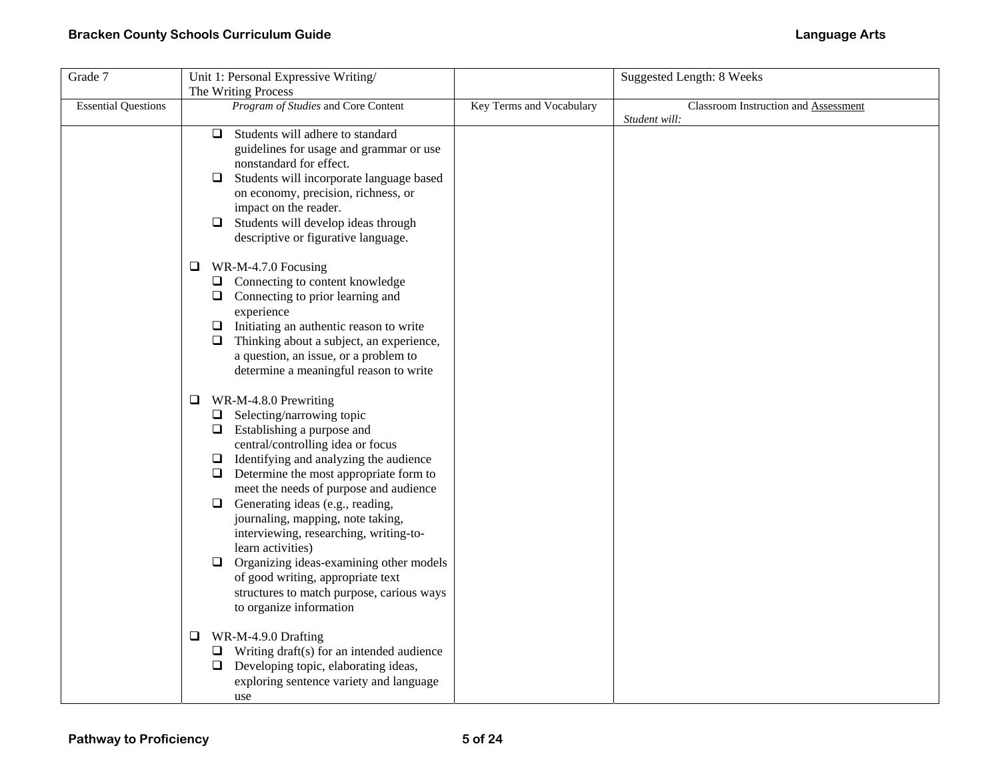| Grade 7                    | Unit 1: Personal Expressive Writing/                                                                                                                                                                                                                                                                                                                                                                                                                                                                                                                                                                                                                                                                                                                                                                                                                                     |                          | <b>Suggested Length: 8 Weeks</b>     |
|----------------------------|--------------------------------------------------------------------------------------------------------------------------------------------------------------------------------------------------------------------------------------------------------------------------------------------------------------------------------------------------------------------------------------------------------------------------------------------------------------------------------------------------------------------------------------------------------------------------------------------------------------------------------------------------------------------------------------------------------------------------------------------------------------------------------------------------------------------------------------------------------------------------|--------------------------|--------------------------------------|
|                            | The Writing Process                                                                                                                                                                                                                                                                                                                                                                                                                                                                                                                                                                                                                                                                                                                                                                                                                                                      |                          |                                      |
| <b>Essential Questions</b> | Program of Studies and Core Content                                                                                                                                                                                                                                                                                                                                                                                                                                                                                                                                                                                                                                                                                                                                                                                                                                      | Key Terms and Vocabulary | Classroom Instruction and Assessment |
|                            | Students will adhere to standard<br>$\Box$<br>guidelines for usage and grammar or use<br>nonstandard for effect.<br>Students will incorporate language based<br>❏<br>on economy, precision, richness, or<br>impact on the reader.<br>$\Box$ Students will develop ideas through<br>descriptive or figurative language.<br>WR-M-4.7.0 Focusing<br>❏<br>$\Box$ Connecting to content knowledge<br>$\Box$ Connecting to prior learning and<br>experience<br>$\Box$ Initiating an authentic reason to write<br>Thinking about a subject, an experience,<br>⊔                                                                                                                                                                                                                                                                                                                 |                          | Student will:                        |
|                            | a question, an issue, or a problem to<br>determine a meaningful reason to write<br>WR-M-4.8.0 Prewriting<br>❏<br>$\Box$ Selecting/narrowing topic<br>$\Box$ Establishing a purpose and<br>central/controlling idea or focus<br>Identifying and analyzing the audience<br>$\Box$<br>$\Box$ Determine the most appropriate form to<br>meet the needs of purpose and audience<br>$\Box$<br>Generating ideas (e.g., reading,<br>journaling, mapping, note taking,<br>interviewing, researching, writing-to-<br>learn activities)<br>Organizing ideas-examining other models<br>$\Box$<br>of good writing, appropriate text<br>structures to match purpose, carious ways<br>to organize information<br>WR-M-4.9.0 Drafting<br>❏<br>$\Box$ Writing draft(s) for an intended audience<br>$\Box$ Developing topic, elaborating ideas,<br>exploring sentence variety and language |                          |                                      |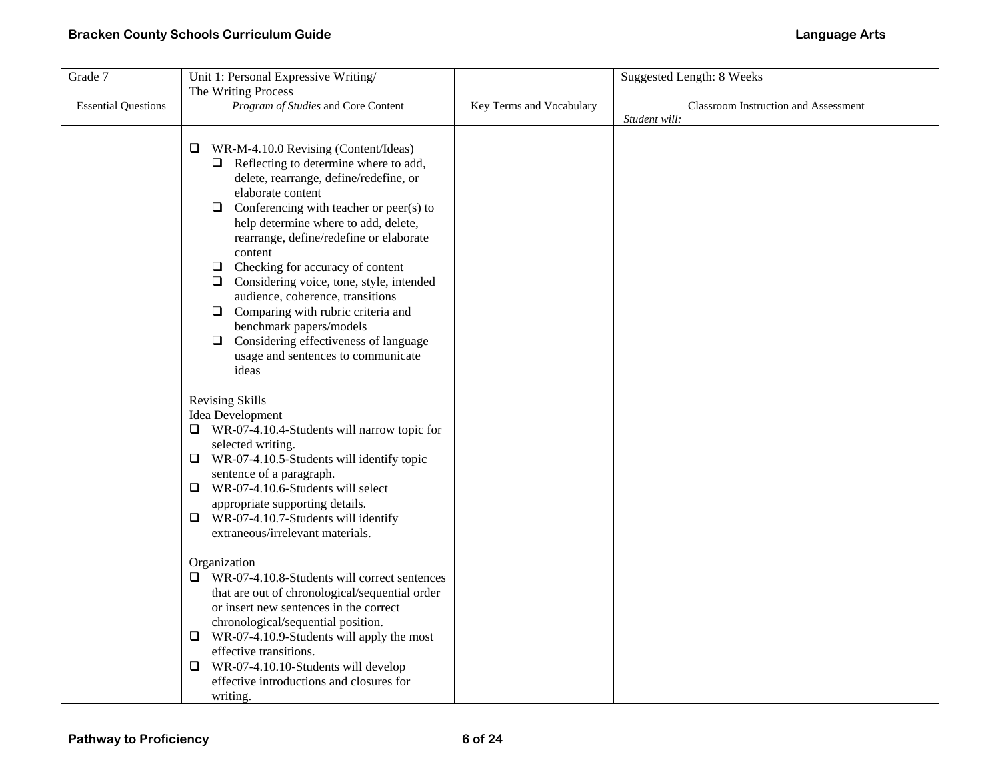| Grade 7                    | Unit 1: Personal Expressive Writing/                |                          | Suggested Length: 8 Weeks            |
|----------------------------|-----------------------------------------------------|--------------------------|--------------------------------------|
|                            | The Writing Process                                 |                          |                                      |
| <b>Essential Questions</b> | Program of Studies and Core Content                 | Key Terms and Vocabulary | Classroom Instruction and Assessment |
|                            |                                                     |                          | Student will:                        |
|                            |                                                     |                          |                                      |
|                            | WR-M-4.10.0 Revising (Content/Ideas)<br>u           |                          |                                      |
|                            | $\Box$ Reflecting to determine where to add,        |                          |                                      |
|                            | delete, rearrange, define/redefine, or              |                          |                                      |
|                            | elaborate content                                   |                          |                                      |
|                            | Conferencing with teacher or peer(s) to<br>$\Box$   |                          |                                      |
|                            | help determine where to add, delete,                |                          |                                      |
|                            | rearrange, define/redefine or elaborate<br>content  |                          |                                      |
|                            | $\Box$<br>Checking for accuracy of content          |                          |                                      |
|                            | Considering voice, tone, style, intended<br>⊔       |                          |                                      |
|                            | audience, coherence, transitions                    |                          |                                      |
|                            | $\Box$ Comparing with rubric criteria and           |                          |                                      |
|                            | benchmark papers/models                             |                          |                                      |
|                            | $\Box$ Considering effectiveness of language        |                          |                                      |
|                            | usage and sentences to communicate                  |                          |                                      |
|                            | ideas                                               |                          |                                      |
|                            |                                                     |                          |                                      |
|                            | <b>Revising Skills</b>                              |                          |                                      |
|                            | Idea Development                                    |                          |                                      |
|                            | $\Box$ WR-07-4.10.4-Students will narrow topic for  |                          |                                      |
|                            | selected writing.                                   |                          |                                      |
|                            | $\Box$ WR-07-4.10.5-Students will identify topic    |                          |                                      |
|                            | sentence of a paragraph.                            |                          |                                      |
|                            | WR-07-4.10.6-Students will select<br>Q.             |                          |                                      |
|                            | appropriate supporting details.                     |                          |                                      |
|                            | $\Box$ WR-07-4.10.7-Students will identify          |                          |                                      |
|                            | extraneous/irrelevant materials.                    |                          |                                      |
|                            | Organization                                        |                          |                                      |
|                            | $\Box$ WR-07-4.10.8-Students will correct sentences |                          |                                      |
|                            | that are out of chronological/sequential order      |                          |                                      |
|                            | or insert new sentences in the correct              |                          |                                      |
|                            | chronological/sequential position.                  |                          |                                      |
|                            | $\Box$ WR-07-4.10.9-Students will apply the most    |                          |                                      |
|                            | effective transitions.                              |                          |                                      |
|                            | $\Box$ WR-07-4.10.10-Students will develop          |                          |                                      |
|                            | effective introductions and closures for            |                          |                                      |
|                            | writing.                                            |                          |                                      |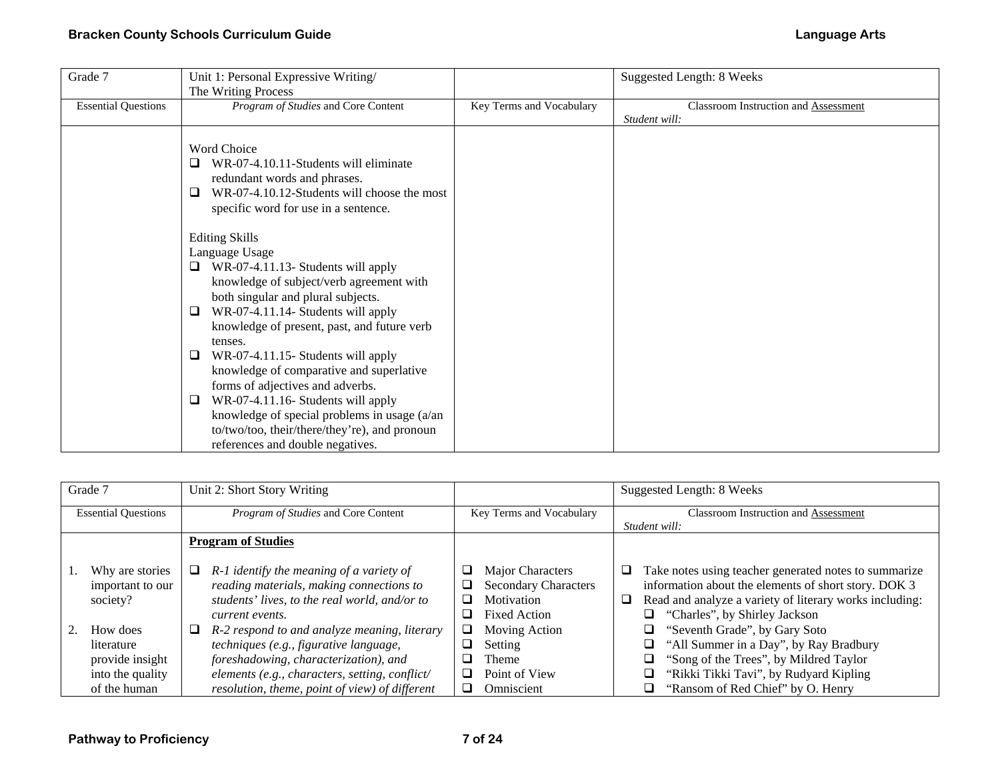| Grade 7                    | Unit 1: Personal Expressive Writing/                                                                                                                                                                                                                                                                                                                                                                                                                                                       |                          | Suggested Length: 8 Weeks            |
|----------------------------|--------------------------------------------------------------------------------------------------------------------------------------------------------------------------------------------------------------------------------------------------------------------------------------------------------------------------------------------------------------------------------------------------------------------------------------------------------------------------------------------|--------------------------|--------------------------------------|
|                            | The Writing Process                                                                                                                                                                                                                                                                                                                                                                                                                                                                        |                          |                                      |
| <b>Essential Questions</b> | Program of Studies and Core Content                                                                                                                                                                                                                                                                                                                                                                                                                                                        | Key Terms and Vocabulary | Classroom Instruction and Assessment |
|                            |                                                                                                                                                                                                                                                                                                                                                                                                                                                                                            |                          | Student will:                        |
|                            | Word Choice<br>WR-07-4.10.11-Students will eliminate<br>redundant words and phrases.<br>WR-07-4.10.12-Students will choose the most<br>□<br>specific word for use in a sentence.                                                                                                                                                                                                                                                                                                           |                          |                                      |
|                            | <b>Editing Skills</b><br>Language Usage<br>WR-07-4.11.13- Students will apply<br>knowledge of subject/verb agreement with<br>both singular and plural subjects.<br>WR-07-4.11.14- Students will apply<br>❏<br>knowledge of present, past, and future verb<br>tenses.<br>WR-07-4.11.15- Students will apply<br>⊔<br>knowledge of comparative and superlative<br>forms of adjectives and adverbs.<br>WR-07-4.11.16- Students will apply<br>□<br>knowledge of special problems in usage (a/an |                          |                                      |
|                            | to/two/too, their/there/they're), and pronoun<br>references and double negatives.                                                                                                                                                                                                                                                                                                                                                                                                          |                          |                                      |

| Grade 7                                         | Unit 2: Short Story Writing                                                                                                                                   |                                                                                      | Suggested Length: 8 Weeks                                                                                                                                                                                      |
|-------------------------------------------------|---------------------------------------------------------------------------------------------------------------------------------------------------------------|--------------------------------------------------------------------------------------|----------------------------------------------------------------------------------------------------------------------------------------------------------------------------------------------------------------|
| <b>Essential Questions</b>                      | <i>Program of Studies</i> and Core Content                                                                                                                    | Key Terms and Vocabulary                                                             | <b>Classroom Instruction and Assessment</b>                                                                                                                                                                    |
|                                                 |                                                                                                                                                               |                                                                                      | Student will:                                                                                                                                                                                                  |
|                                                 | <b>Program of Studies</b>                                                                                                                                     |                                                                                      |                                                                                                                                                                                                                |
| Why are stories<br>important to our<br>society? | R-1 identify the meaning of a variety of<br>u<br>reading materials, making connections to<br>students' lives, to the real world, and/or to<br>current events. | Major Characters<br><b>Secondary Characters</b><br>Motivation<br><b>Fixed Action</b> | Take notes using teacher generated notes to summarize<br>information about the elements of short story. DOK 3<br>Read and analyze a variety of literary works including:<br>❏<br>"Charles", by Shirley Jackson |
| How does                                        | R-2 respond to and analyze meaning, literary<br>⊔                                                                                                             | Moving Action                                                                        | "Seventh Grade", by Gary Soto                                                                                                                                                                                  |
| literature                                      | techniques (e.g., figurative language,                                                                                                                        | Setting                                                                              | "All Summer in a Day", by Ray Bradbury                                                                                                                                                                         |
| provide insight                                 | foreshadowing, characterization), and                                                                                                                         | <b>Theme</b>                                                                         | "Song of the Trees", by Mildred Taylor                                                                                                                                                                         |
| into the quality                                | elements (e.g., characters, setting, conflict/                                                                                                                | Point of View                                                                        | "Rikki Tikki Tavi", by Rudyard Kipling                                                                                                                                                                         |
| of the human                                    | resolution, theme, point of view) of different                                                                                                                | Omniscient                                                                           | "Ransom of Red Chief" by O. Henry                                                                                                                                                                              |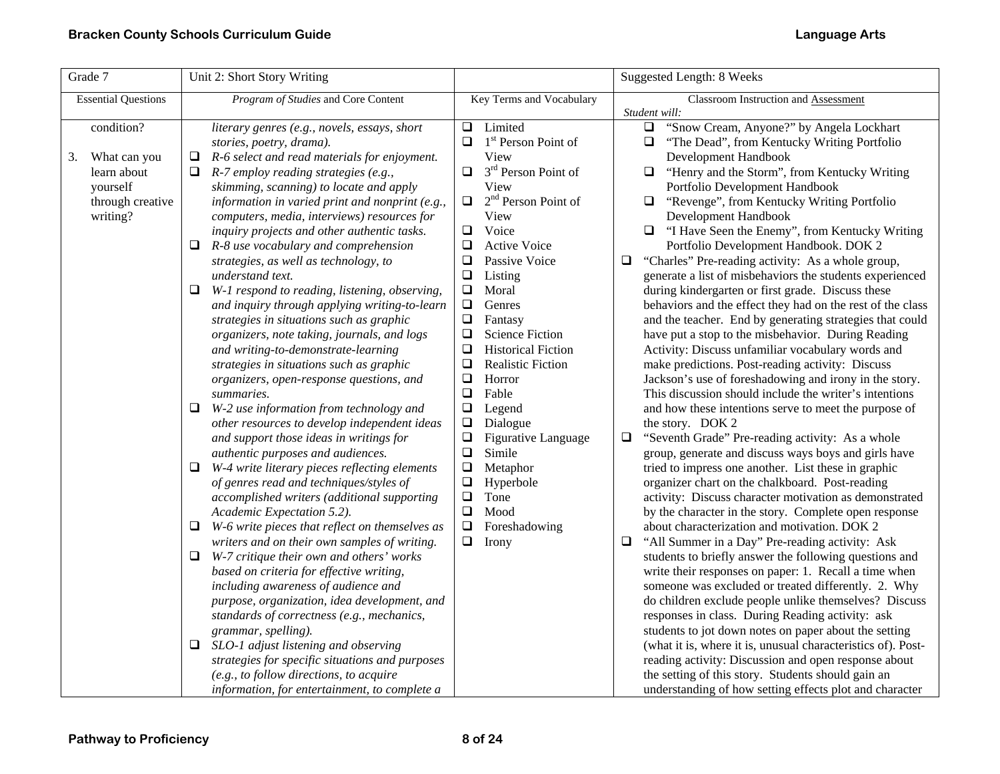| Grade 7                                                                                     | Unit 2: Short Story Writing                                                                                                                                                                                                                                                                                                                                                                                                                                                                                                                                                                                                                                                                                                                                                                                                                                                                                                                                                                                                                                                                                                                                                                                                                                                                                                                                                                                                                                                                                                                                                                                                                                                                                                                                    |                                                                                                                                                                                                                                                                                                                                                                                                                                                                                                                                                                                                                                                                                                                 | Suggested Length: 8 Weeks                                                                                                                                                                                                                                                                                                                                                                                                                                                                                                                                                                                                                                                                                                                                                                                                                                                                                                                                                                                                                                                                                                                                                                                                                                                                                                                                                                                                                                                                                                                                                                                                                                                                                                                                                                                                                                                                                                                                                                                                                                                                                         |
|---------------------------------------------------------------------------------------------|----------------------------------------------------------------------------------------------------------------------------------------------------------------------------------------------------------------------------------------------------------------------------------------------------------------------------------------------------------------------------------------------------------------------------------------------------------------------------------------------------------------------------------------------------------------------------------------------------------------------------------------------------------------------------------------------------------------------------------------------------------------------------------------------------------------------------------------------------------------------------------------------------------------------------------------------------------------------------------------------------------------------------------------------------------------------------------------------------------------------------------------------------------------------------------------------------------------------------------------------------------------------------------------------------------------------------------------------------------------------------------------------------------------------------------------------------------------------------------------------------------------------------------------------------------------------------------------------------------------------------------------------------------------------------------------------------------------------------------------------------------------|-----------------------------------------------------------------------------------------------------------------------------------------------------------------------------------------------------------------------------------------------------------------------------------------------------------------------------------------------------------------------------------------------------------------------------------------------------------------------------------------------------------------------------------------------------------------------------------------------------------------------------------------------------------------------------------------------------------------|-------------------------------------------------------------------------------------------------------------------------------------------------------------------------------------------------------------------------------------------------------------------------------------------------------------------------------------------------------------------------------------------------------------------------------------------------------------------------------------------------------------------------------------------------------------------------------------------------------------------------------------------------------------------------------------------------------------------------------------------------------------------------------------------------------------------------------------------------------------------------------------------------------------------------------------------------------------------------------------------------------------------------------------------------------------------------------------------------------------------------------------------------------------------------------------------------------------------------------------------------------------------------------------------------------------------------------------------------------------------------------------------------------------------------------------------------------------------------------------------------------------------------------------------------------------------------------------------------------------------------------------------------------------------------------------------------------------------------------------------------------------------------------------------------------------------------------------------------------------------------------------------------------------------------------------------------------------------------------------------------------------------------------------------------------------------------------------------------------------------|
| <b>Essential Questions</b>                                                                  | Program of Studies and Core Content                                                                                                                                                                                                                                                                                                                                                                                                                                                                                                                                                                                                                                                                                                                                                                                                                                                                                                                                                                                                                                                                                                                                                                                                                                                                                                                                                                                                                                                                                                                                                                                                                                                                                                                            | Key Terms and Vocabulary                                                                                                                                                                                                                                                                                                                                                                                                                                                                                                                                                                                                                                                                                        | Classroom Instruction and Assessment<br>Student will:                                                                                                                                                                                                                                                                                                                                                                                                                                                                                                                                                                                                                                                                                                                                                                                                                                                                                                                                                                                                                                                                                                                                                                                                                                                                                                                                                                                                                                                                                                                                                                                                                                                                                                                                                                                                                                                                                                                                                                                                                                                             |
| condition?<br>What can you<br>3.<br>learn about<br>yourself<br>through creative<br>writing? | literary genres (e.g., novels, essays, short<br>stories, poetry, drama).<br>R-6 select and read materials for enjoyment.<br>❏<br>0<br>$R$ -7 employ reading strategies (e.g.,<br>skimming, scanning) to locate and apply<br>information in varied print and nonprint (e.g.,<br>computers, media, interviews) resources for<br>inquiry projects and other authentic tasks.<br>R-8 use vocabulary and comprehension<br>❏<br>strategies, as well as technology, to<br>understand text.<br>$\Box$ W-1 respond to reading, listening, observing,<br>and inquiry through applying writing-to-learn<br>strategies in situations such as graphic<br>organizers, note taking, journals, and logs<br>and writing-to-demonstrate-learning<br>strategies in situations such as graphic<br>organizers, open-response questions, and<br>summaries.<br>W-2 use information from technology and<br>u<br>other resources to develop independent ideas<br>and support those ideas in writings for<br>authentic purposes and audiences.<br>W-4 write literary pieces reflecting elements<br>Q<br>of genres read and techniques/styles of<br>accomplished writers (additional supporting<br>Academic Expectation 5.2).<br>W-6 write pieces that reflect on themselves as<br>❏<br>writers and on their own samples of writing.<br>W-7 critique their own and others' works<br>❏<br>based on criteria for effective writing,<br>including awareness of audience and<br>purpose, organization, idea development, and<br>standards of correctness (e.g., mechanics,<br>grammar, spelling).<br>SLO-1 adjust listening and observing<br>❏<br>strategies for specific situations and purposes<br>(e.g., to follow directions, to acquire<br>information, for entertainment, to complete a | $\Box$ Limited<br>1 <sup>st</sup> Person Point of<br>o.<br>View<br>3 <sup>rd</sup> Person Point of<br>$\Box$<br>View<br>$2nd$ Person Point of<br>$\Box$<br>View<br>Voice<br>$\Box$<br>$\Box$<br><b>Active Voice</b><br>❏<br>Passive Voice<br>$\Box$<br>Listing<br>$\Box$<br>Moral<br>$\Box$<br>Genres<br>$\Box$<br>Fantasy<br>$\Box$<br><b>Science Fiction</b><br>$\Box$<br><b>Historical Fiction</b><br>$\Box$<br><b>Realistic Fiction</b><br>❏<br>Horror<br>$\Box$<br>Fable<br>$\Box$<br>Legend<br>$\Box$<br>Dialogue<br>$\Box$<br><b>Figurative Language</b><br>$\Box$<br>Simile<br>$\Box$<br>Metaphor<br>$\Box$<br>Hyperbole<br>$\Box$<br>Tone<br>$\Box$<br>Mood<br>$\Box$<br>Foreshadowing<br>$\Box$ Irony | "Snow Cream, Anyone?" by Angela Lockhart<br>$\Box$<br>"The Dead", from Kentucky Writing Portfolio<br>Development Handbook<br>"Henry and the Storm", from Kentucky Writing<br>Q.<br>Portfolio Development Handbook<br>"Revenge", from Kentucky Writing Portfolio<br>⊔<br>Development Handbook<br>"I Have Seen the Enemy", from Kentucky Writing<br>Q.<br>Portfolio Development Handbook. DOK 2<br>"Charles" Pre-reading activity: As a whole group,<br>⊔<br>generate a list of misbehaviors the students experienced<br>during kindergarten or first grade. Discuss these<br>behaviors and the effect they had on the rest of the class<br>and the teacher. End by generating strategies that could<br>have put a stop to the misbehavior. During Reading<br>Activity: Discuss unfamiliar vocabulary words and<br>make predictions. Post-reading activity: Discuss<br>Jackson's use of foreshadowing and irony in the story.<br>This discussion should include the writer's intentions<br>and how these intentions serve to meet the purpose of<br>the story. DOK 2<br>"Seventh Grade" Pre-reading activity: As a whole<br>⊔<br>group, generate and discuss ways boys and girls have<br>tried to impress one another. List these in graphic<br>organizer chart on the chalkboard. Post-reading<br>activity: Discuss character motivation as demonstrated<br>by the character in the story. Complete open response<br>about characterization and motivation. DOK 2<br>"All Summer in a Day" Pre-reading activity: Ask<br>⊔<br>students to briefly answer the following questions and<br>write their responses on paper: 1. Recall a time when<br>someone was excluded or treated differently. 2. Why<br>do children exclude people unlike themselves? Discuss<br>responses in class. During Reading activity: ask<br>students to jot down notes on paper about the setting<br>(what it is, where it is, unusual characteristics of). Post-<br>reading activity: Discussion and open response about<br>the setting of this story. Students should gain an<br>understanding of how setting effects plot and character |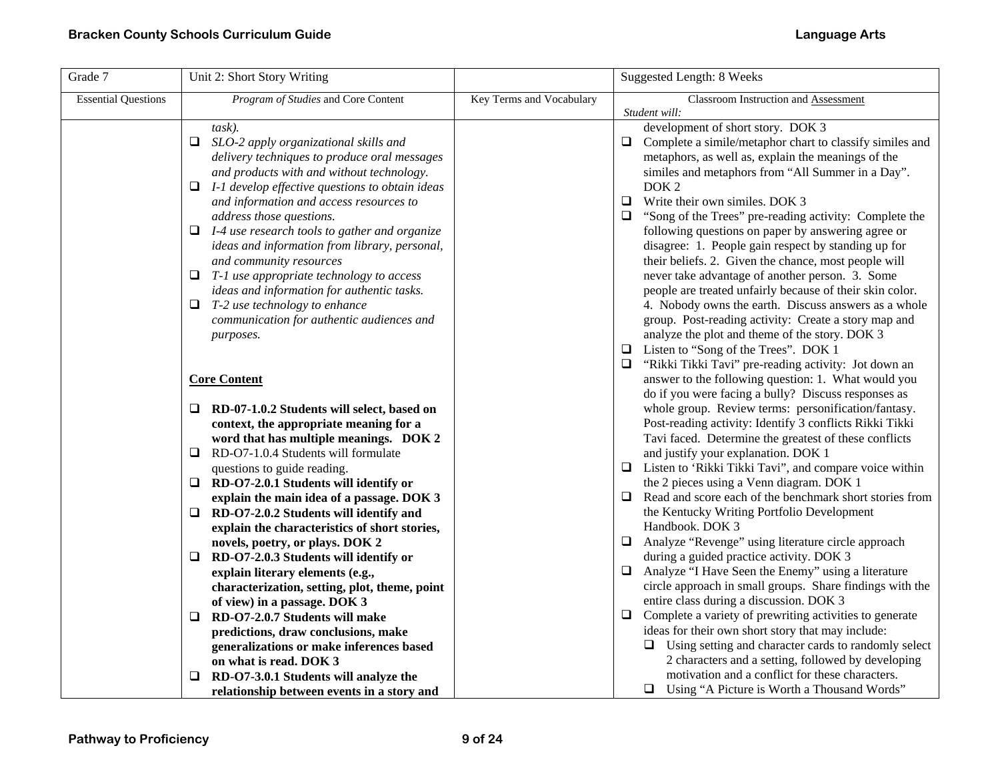| Grade 7                    | Unit 2: Short Story Writing                                                                                                                                                                                                                                                                                                                                                                                                                                                                                                                                                                                                   |                          | Suggested Length: 8 Weeks                                                                                                                                                                                                                                                                                                                                                                                                                                                                                                                                                                                                                                                                                                                                                                                                |
|----------------------------|-------------------------------------------------------------------------------------------------------------------------------------------------------------------------------------------------------------------------------------------------------------------------------------------------------------------------------------------------------------------------------------------------------------------------------------------------------------------------------------------------------------------------------------------------------------------------------------------------------------------------------|--------------------------|--------------------------------------------------------------------------------------------------------------------------------------------------------------------------------------------------------------------------------------------------------------------------------------------------------------------------------------------------------------------------------------------------------------------------------------------------------------------------------------------------------------------------------------------------------------------------------------------------------------------------------------------------------------------------------------------------------------------------------------------------------------------------------------------------------------------------|
| <b>Essential Questions</b> | Program of Studies and Core Content                                                                                                                                                                                                                                                                                                                                                                                                                                                                                                                                                                                           | Key Terms and Vocabulary | Classroom Instruction and Assessment                                                                                                                                                                                                                                                                                                                                                                                                                                                                                                                                                                                                                                                                                                                                                                                     |
|                            | $task)$ .<br>SLO-2 apply organizational skills and<br>❏.<br>delivery techniques to produce oral messages<br>and products with and without technology.<br>$\Box$ I-1 develop effective questions to obtain ideas<br>and information and access resources to<br>address those questions.<br>$\Box$ I-4 use research tools to gather and organize<br>ideas and information from library, personal,<br>and community resources<br>$\Box$ T-1 use appropriate technology to access<br>ideas and information for authentic tasks.<br>$\Box$ T-2 use technology to enhance<br>communication for authentic audiences and<br>purposes. |                          | Student will:<br>development of short story. DOK 3<br>Complete a simile/metaphor chart to classify similes and<br>❏<br>metaphors, as well as, explain the meanings of the<br>similes and metaphors from "All Summer in a Day".<br>DOK <sub>2</sub><br>Write their own similes. DOK 3<br>$\Box$<br>$\Box$<br>"Song of the Trees" pre-reading activity: Complete the<br>following questions on paper by answering agree or<br>disagree: 1. People gain respect by standing up for<br>their beliefs. 2. Given the chance, most people will<br>never take advantage of another person. 3. Some<br>people are treated unfairly because of their skin color.<br>4. Nobody owns the earth. Discuss answers as a whole<br>group. Post-reading activity: Create a story map and<br>analyze the plot and theme of the story. DOK 3 |
|                            | <b>Core Content</b><br>$\Box$ RD-07-1.0.2 Students will select, based on                                                                                                                                                                                                                                                                                                                                                                                                                                                                                                                                                      |                          | Listen to "Song of the Trees". DOK 1<br>$\Box$<br>"Rikki Tikki Tavi" pre-reading activity: Jot down an<br>$\Box$<br>answer to the following question: 1. What would you<br>do if you were facing a bully? Discuss responses as<br>whole group. Review terms: personification/fantasy.                                                                                                                                                                                                                                                                                                                                                                                                                                                                                                                                    |
|                            | context, the appropriate meaning for a<br>word that has multiple meanings. DOK 2<br>$\Box$ RD-O7-1.0.4 Students will formulate                                                                                                                                                                                                                                                                                                                                                                                                                                                                                                |                          | Post-reading activity: Identify 3 conflicts Rikki Tikki<br>Tavi faced. Determine the greatest of these conflicts<br>and justify your explanation. DOK 1                                                                                                                                                                                                                                                                                                                                                                                                                                                                                                                                                                                                                                                                  |
|                            | questions to guide reading.<br>$\Box$ RD-O7-2.0.1 Students will identify or                                                                                                                                                                                                                                                                                                                                                                                                                                                                                                                                                   |                          | Listen to 'Rikki Tikki Tavi'', and compare voice within<br>$\Box$<br>the 2 pieces using a Venn diagram. DOK 1<br>Read and score each of the benchmark short stories from                                                                                                                                                                                                                                                                                                                                                                                                                                                                                                                                                                                                                                                 |
|                            | explain the main idea of a passage. DOK 3<br>RD-O7-2.0.2 Students will identify and<br>⊔<br>explain the characteristics of short stories,<br>novels, poetry, or plays. DOK 2                                                                                                                                                                                                                                                                                                                                                                                                                                                  |                          | ⊔<br>the Kentucky Writing Portfolio Development<br>Handbook. DOK 3<br>Analyze "Revenge" using literature circle approach<br>⊔                                                                                                                                                                                                                                                                                                                                                                                                                                                                                                                                                                                                                                                                                            |
|                            | $\Box$ RD-O7-2.0.3 Students will identify or<br>explain literary elements (e.g.,<br>characterization, setting, plot, theme, point<br>of view) in a passage. DOK 3                                                                                                                                                                                                                                                                                                                                                                                                                                                             |                          | during a guided practice activity. DOK 3<br>Analyze "I Have Seen the Enemy" using a literature<br>$\Box$<br>circle approach in small groups. Share findings with the<br>entire class during a discussion. DOK 3                                                                                                                                                                                                                                                                                                                                                                                                                                                                                                                                                                                                          |
|                            | RD-O7-2.0.7 Students will make<br>❏<br>predictions, draw conclusions, make<br>generalizations or make inferences based<br>on what is read. DOK 3                                                                                                                                                                                                                                                                                                                                                                                                                                                                              |                          | Complete a variety of prewriting activities to generate<br>⊔<br>ideas for their own short story that may include:<br>$\Box$ Using setting and character cards to randomly select<br>2 characters and a setting, followed by developing                                                                                                                                                                                                                                                                                                                                                                                                                                                                                                                                                                                   |
|                            | RD-O7-3.0.1 Students will analyze the<br>⊔<br>relationship between events in a story and                                                                                                                                                                                                                                                                                                                                                                                                                                                                                                                                      |                          | motivation and a conflict for these characters.<br>$\Box$ Using "A Picture is Worth a Thousand Words"                                                                                                                                                                                                                                                                                                                                                                                                                                                                                                                                                                                                                                                                                                                    |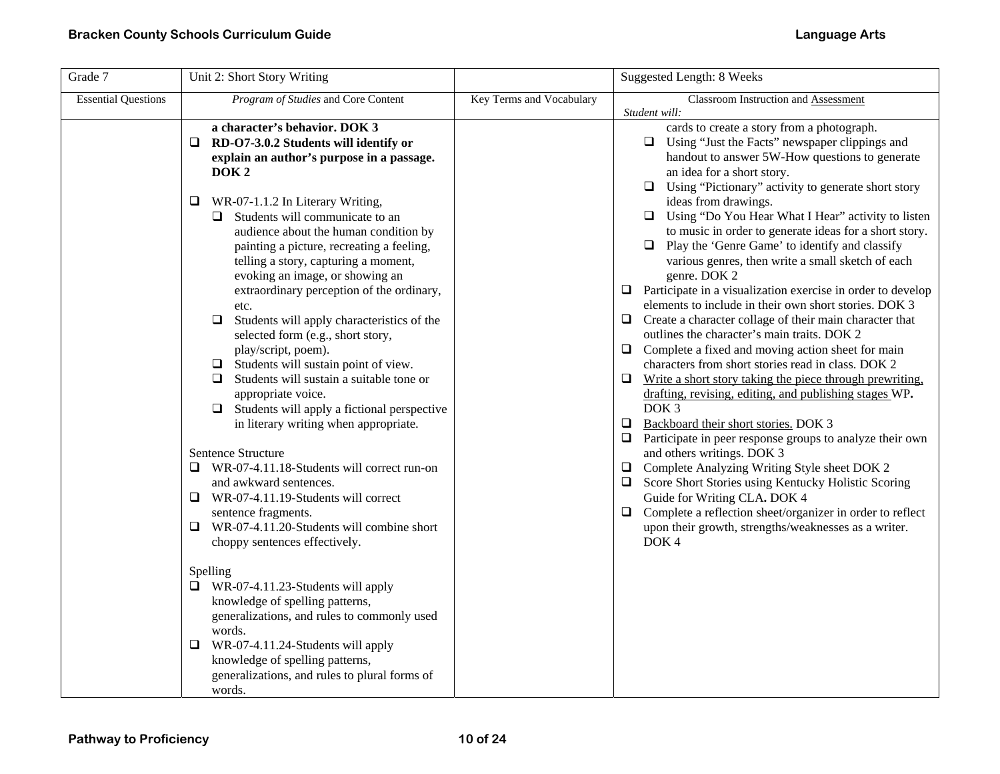| Grade 7                    | Unit 2: Short Story Writing                                                                                                                                                                                                                                                                                                                                                                                                                                                                                                                                                                                                                                                                                                                                                                                                                                                                                                                                                                                                                                                                                                                                                                                                                             |                          | <b>Suggested Length: 8 Weeks</b>                                                                                                                                                                                                                                                                                                                                                                                                                                                                                                                                                                                                                                                                                                                                                                                                                                                                                                                                                                                                                                                                                                                                                                                                                                                                                                                                                                                                                                        |
|----------------------------|---------------------------------------------------------------------------------------------------------------------------------------------------------------------------------------------------------------------------------------------------------------------------------------------------------------------------------------------------------------------------------------------------------------------------------------------------------------------------------------------------------------------------------------------------------------------------------------------------------------------------------------------------------------------------------------------------------------------------------------------------------------------------------------------------------------------------------------------------------------------------------------------------------------------------------------------------------------------------------------------------------------------------------------------------------------------------------------------------------------------------------------------------------------------------------------------------------------------------------------------------------|--------------------------|-------------------------------------------------------------------------------------------------------------------------------------------------------------------------------------------------------------------------------------------------------------------------------------------------------------------------------------------------------------------------------------------------------------------------------------------------------------------------------------------------------------------------------------------------------------------------------------------------------------------------------------------------------------------------------------------------------------------------------------------------------------------------------------------------------------------------------------------------------------------------------------------------------------------------------------------------------------------------------------------------------------------------------------------------------------------------------------------------------------------------------------------------------------------------------------------------------------------------------------------------------------------------------------------------------------------------------------------------------------------------------------------------------------------------------------------------------------------------|
| <b>Essential Questions</b> | Program of Studies and Core Content                                                                                                                                                                                                                                                                                                                                                                                                                                                                                                                                                                                                                                                                                                                                                                                                                                                                                                                                                                                                                                                                                                                                                                                                                     | Key Terms and Vocabulary | Classroom Instruction and Assessment<br>Student will:                                                                                                                                                                                                                                                                                                                                                                                                                                                                                                                                                                                                                                                                                                                                                                                                                                                                                                                                                                                                                                                                                                                                                                                                                                                                                                                                                                                                                   |
|                            | a character's behavior. DOK 3<br>RD-O7-3.0.2 Students will identify or<br>□<br>explain an author's purpose in a passage.<br>DOK <sub>2</sub><br>WR-07-1.1.2 In Literary Writing,<br>❏<br>Students will communicate to an<br>audience about the human condition by<br>painting a picture, recreating a feeling,<br>telling a story, capturing a moment,<br>evoking an image, or showing an<br>extraordinary perception of the ordinary,<br>etc.<br>$\Box$<br>Students will apply characteristics of the<br>selected form (e.g., short story,<br>play/script, poem).<br>Students will sustain point of view.<br>□<br>Students will sustain a suitable tone or<br>❏<br>appropriate voice.<br>$\Box$ Students will apply a fictional perspective<br>in literary writing when appropriate.<br>Sentence Structure<br>WR-07-4.11.18-Students will correct run-on<br>Q.<br>and awkward sentences.<br>$\Box$<br>WR-07-4.11.19-Students will correct<br>sentence fragments.<br>WR-07-4.11.20-Students will combine short<br>$\Box$<br>choppy sentences effectively.<br>Spelling<br>$\Box$ WR-07-4.11.23-Students will apply<br>knowledge of spelling patterns,<br>generalizations, and rules to commonly used<br>words.<br>WR-07-4.11.24-Students will apply<br>u |                          | cards to create a story from a photograph.<br>$\Box$ Using "Just the Facts" newspaper clippings and<br>handout to answer 5W-How questions to generate<br>an idea for a short story.<br>Using "Pictionary" activity to generate short story<br>ideas from drawings.<br>Using "Do You Hear What I Hear" activity to listen<br>$\Box$<br>to music in order to generate ideas for a short story.<br>$\Box$<br>Play the 'Genre Game' to identify and classify<br>various genres, then write a small sketch of each<br>genre. DOK 2<br>Participate in a visualization exercise in order to develop<br>□<br>elements to include in their own short stories. DOK 3<br>Create a character collage of their main character that<br>⊔<br>outlines the character's main traits. DOK 2<br>Complete a fixed and moving action sheet for main<br>⊔<br>characters from short stories read in class. DOK 2<br>Write a short story taking the piece through prewriting.<br>⊔<br>drafting, revising, editing, and publishing stages WP.<br>DOK <sub>3</sub><br>Backboard their short stories. DOK 3<br>❏<br>Participate in peer response groups to analyze their own<br>$\Box$<br>and others writings. DOK 3<br>Complete Analyzing Writing Style sheet DOK 2<br>Score Short Stories using Kentucky Holistic Scoring<br>⊔<br>Guide for Writing CLA. DOK 4<br>Complete a reflection sheet/organizer in order to reflect<br>□<br>upon their growth, strengths/weaknesses as a writer.<br>DOK4 |
|                            | knowledge of spelling patterns,<br>generalizations, and rules to plural forms of<br>words.                                                                                                                                                                                                                                                                                                                                                                                                                                                                                                                                                                                                                                                                                                                                                                                                                                                                                                                                                                                                                                                                                                                                                              |                          |                                                                                                                                                                                                                                                                                                                                                                                                                                                                                                                                                                                                                                                                                                                                                                                                                                                                                                                                                                                                                                                                                                                                                                                                                                                                                                                                                                                                                                                                         |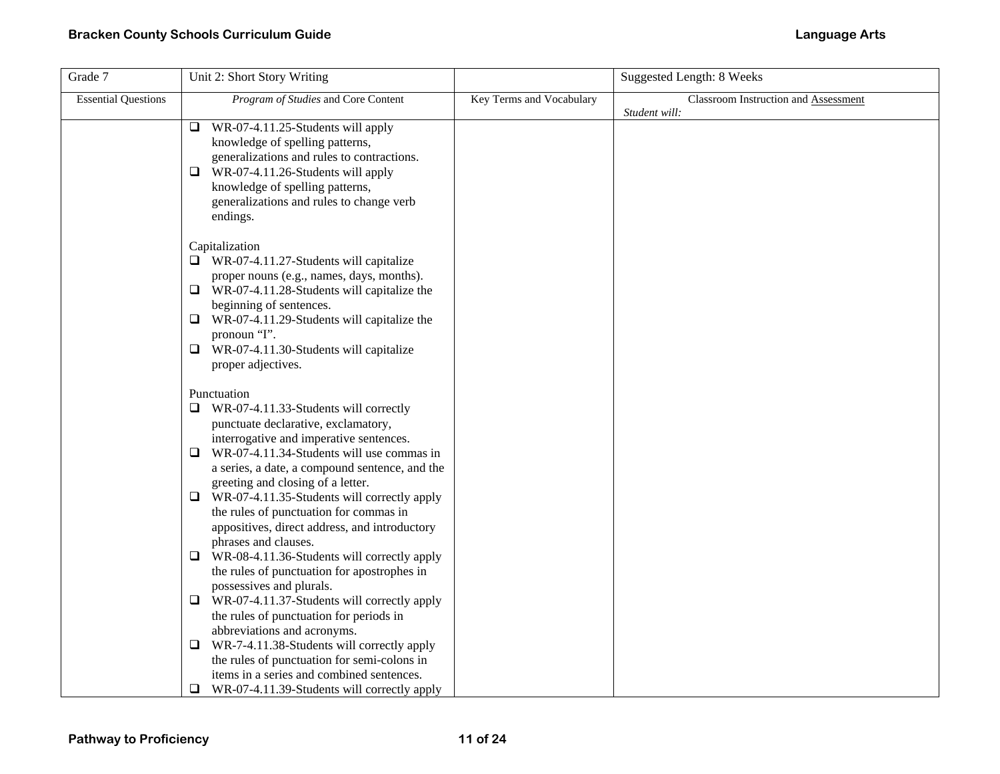| Grade 7                    | Unit 2: Short Story Writing                                                                                                                                                                                                                                                                                                              |                          | <b>Suggested Length: 8 Weeks</b>     |
|----------------------------|------------------------------------------------------------------------------------------------------------------------------------------------------------------------------------------------------------------------------------------------------------------------------------------------------------------------------------------|--------------------------|--------------------------------------|
| <b>Essential Questions</b> | Program of Studies and Core Content                                                                                                                                                                                                                                                                                                      | Key Terms and Vocabulary | Classroom Instruction and Assessment |
|                            | $\Box$ WR-07-4.11.25-Students will apply<br>knowledge of spelling patterns,<br>generalizations and rules to contractions.<br>WR-07-4.11.26-Students will apply<br>Q.<br>knowledge of spelling patterns,<br>generalizations and rules to change verb<br>endings.                                                                          |                          | Student will:                        |
|                            | Capitalization<br>$\Box$ WR-07-4.11.27-Students will capitalize<br>proper nouns (e.g., names, days, months).<br>$\Box$ WR-07-4.11.28-Students will capitalize the<br>beginning of sentences.<br>$\Box$ WR-07-4.11.29-Students will capitalize the<br>pronoun "I".<br>$\Box$ WR-07-4.11.30-Students will capitalize<br>proper adjectives. |                          |                                      |
|                            | Punctuation<br>$\Box$ WR-07-4.11.33-Students will correctly<br>punctuate declarative, exclamatory,<br>interrogative and imperative sentences.<br>$\Box$ WR-07-4.11.34-Students will use commas in<br>a series, a date, a compound sentence, and the                                                                                      |                          |                                      |
|                            | greeting and closing of a letter.<br>WR-07-4.11.35-Students will correctly apply<br>Q.<br>the rules of punctuation for commas in<br>appositives, direct address, and introductory<br>phrases and clauses.                                                                                                                                |                          |                                      |
|                            | $\Box$ WR-08-4.11.36-Students will correctly apply<br>the rules of punctuation for apostrophes in<br>possessives and plurals.<br>$\Box$ WR-07-4.11.37-Students will correctly apply                                                                                                                                                      |                          |                                      |
|                            | the rules of punctuation for periods in<br>abbreviations and acronyms.<br>WR-7-4.11.38-Students will correctly apply<br>u<br>the rules of punctuation for semi-colons in                                                                                                                                                                 |                          |                                      |
|                            | items in a series and combined sentences.<br>WR-07-4.11.39-Students will correctly apply<br>⊔                                                                                                                                                                                                                                            |                          |                                      |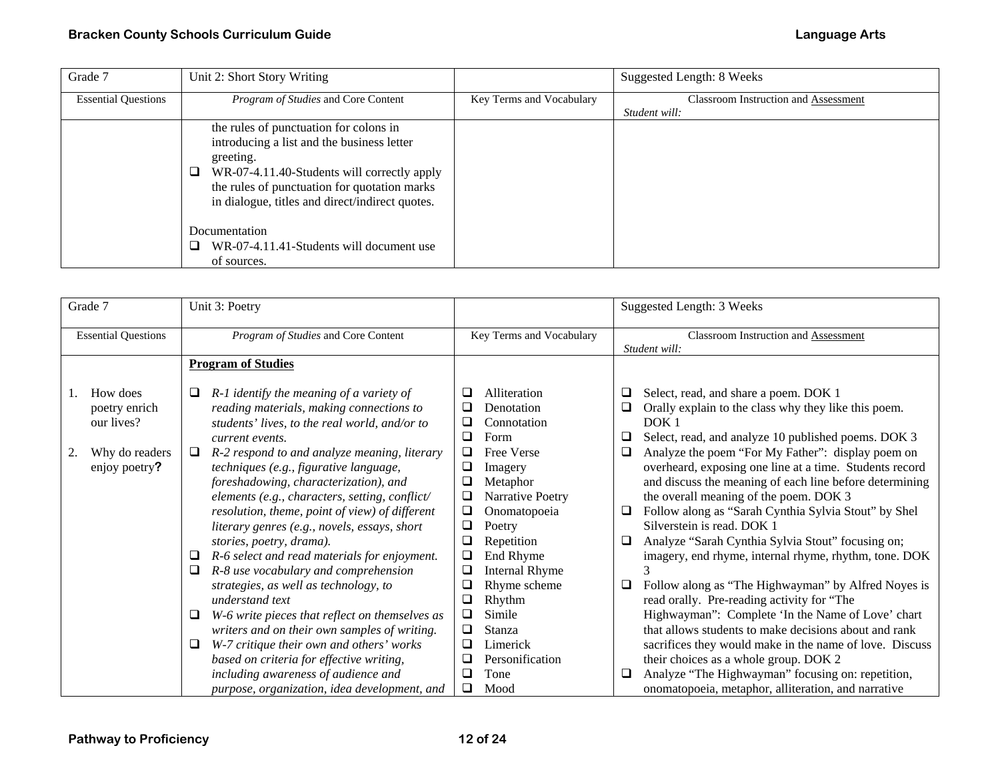| Grade 7                    | Unit 2: Short Story Writing                     |                          | Suggested Length: 8 Weeks                   |
|----------------------------|-------------------------------------------------|--------------------------|---------------------------------------------|
| <b>Essential Questions</b> | <i>Program of Studies</i> and Core Content      | Key Terms and Vocabulary | <b>Classroom Instruction and Assessment</b> |
|                            |                                                 |                          | Student will:                               |
|                            | the rules of punctuation for colons in          |                          |                                             |
|                            | introducing a list and the business letter      |                          |                                             |
|                            | greeting.                                       |                          |                                             |
|                            | WR-07-4.11.40-Students will correctly apply     |                          |                                             |
|                            | the rules of punctuation for quotation marks    |                          |                                             |
|                            | in dialogue, titles and direct/indirect quotes. |                          |                                             |
|                            |                                                 |                          |                                             |
|                            | Documentation                                   |                          |                                             |
|                            | WR-07-4.11.41-Students will document use        |                          |                                             |
|                            | of sources.                                     |                          |                                             |

| Grade 7                                                                                | Unit 3: Poetry                                                                                                                                                                                                                                                                                                                                                                                                                                                                                                                                                                                                                                                                                                                                                                                                                                                                                                                                   |                                                                                                                                                                                                                                                                                                                                                                                                               | Suggested Length: 3 Weeks                                                                                                                                                                                                                                                                                                                                                                                                                                                                                                                                                                                                                                                                                                                                                                                                                                                                                                                                                                                                                                                    |
|----------------------------------------------------------------------------------------|--------------------------------------------------------------------------------------------------------------------------------------------------------------------------------------------------------------------------------------------------------------------------------------------------------------------------------------------------------------------------------------------------------------------------------------------------------------------------------------------------------------------------------------------------------------------------------------------------------------------------------------------------------------------------------------------------------------------------------------------------------------------------------------------------------------------------------------------------------------------------------------------------------------------------------------------------|---------------------------------------------------------------------------------------------------------------------------------------------------------------------------------------------------------------------------------------------------------------------------------------------------------------------------------------------------------------------------------------------------------------|------------------------------------------------------------------------------------------------------------------------------------------------------------------------------------------------------------------------------------------------------------------------------------------------------------------------------------------------------------------------------------------------------------------------------------------------------------------------------------------------------------------------------------------------------------------------------------------------------------------------------------------------------------------------------------------------------------------------------------------------------------------------------------------------------------------------------------------------------------------------------------------------------------------------------------------------------------------------------------------------------------------------------------------------------------------------------|
| <b>Essential Questions</b>                                                             | Program of Studies and Core Content                                                                                                                                                                                                                                                                                                                                                                                                                                                                                                                                                                                                                                                                                                                                                                                                                                                                                                              | Key Terms and Vocabulary                                                                                                                                                                                                                                                                                                                                                                                      | Classroom Instruction and Assessment<br>Student will:                                                                                                                                                                                                                                                                                                                                                                                                                                                                                                                                                                                                                                                                                                                                                                                                                                                                                                                                                                                                                        |
|                                                                                        | <b>Program of Studies</b>                                                                                                                                                                                                                                                                                                                                                                                                                                                                                                                                                                                                                                                                                                                                                                                                                                                                                                                        |                                                                                                                                                                                                                                                                                                                                                                                                               |                                                                                                                                                                                                                                                                                                                                                                                                                                                                                                                                                                                                                                                                                                                                                                                                                                                                                                                                                                                                                                                                              |
| How does<br>1.<br>poetry enrich<br>our lives?<br>Why do readers<br>2.<br>enjoy poetry? | $R-1$ identify the meaning of a variety of<br>⊔<br>reading materials, making connections to<br>students' lives, to the real world, and/or to<br>current events.<br>R-2 respond to and analyze meaning, literary<br>⊔<br>techniques (e.g., figurative language,<br>foreshadowing, characterization), and<br>elements (e.g., characters, setting, conflict/<br>resolution, theme, point of view) of different<br>literary genres (e.g., novels, essays, short<br>stories, poetry, drama).<br>R-6 select and read materials for enjoyment.<br>⊔<br>R-8 use vocabulary and comprehension<br>❏<br>strategies, as well as technology, to<br>understand text<br>W-6 write pieces that reflect on themselves as<br>u<br>writers and on their own samples of writing.<br>W-7 critique their own and others' works<br>⊔<br>based on criteria for effective writing,<br>including awareness of audience and<br>purpose, organization, idea development, and | Alliteration<br>⊔<br>⊔<br>Denotation<br>Connotation<br>❏<br>Form<br>Free Verse<br>$\Box$<br>❏<br>Imagery<br>Metaphor<br>$\Box$<br>Narrative Poetry<br>$\Box$<br>Onomatopoeia<br>$\Box$<br>Poetry<br>Repetition<br>$\Box$<br>End Rhyme<br>❏<br><b>Internal Rhyme</b><br>Rhyme scheme<br>u<br>Rhythm<br>Simile<br>□<br>$\Box$<br>Stanza<br>Limerick<br>$\Box$<br>Personification<br>⊔<br>Tone<br>$\Box$<br>Mood | Select, read, and share a poem. DOK 1<br>❏<br>Orally explain to the class why they like this poem.<br>❏<br>DOK <sub>1</sub><br>Select, read, and analyze 10 published poems. DOK 3<br>❏<br>❏<br>Analyze the poem "For My Father": display poem on<br>overheard, exposing one line at a time. Students record<br>and discuss the meaning of each line before determining<br>the overall meaning of the poem. DOK 3<br>Follow along as "Sarah Cynthia Sylvia Stout" by Shel<br>⊔<br>Silverstein is read. DOK 1<br>Analyze "Sarah Cynthia Sylvia Stout" focusing on;<br>❏<br>imagery, end rhyme, internal rhyme, rhythm, tone. DOK<br>Follow along as "The Highwayman" by Alfred Noyes is<br>⊔<br>read orally. Pre-reading activity for "The<br>Highwayman": Complete 'In the Name of Love' chart<br>that allows students to make decisions about and rank<br>sacrifices they would make in the name of love. Discuss<br>their choices as a whole group. DOK 2<br>Analyze "The Highwayman" focusing on: repetition,<br>⊔<br>onomatopoeia, metaphor, alliteration, and narrative |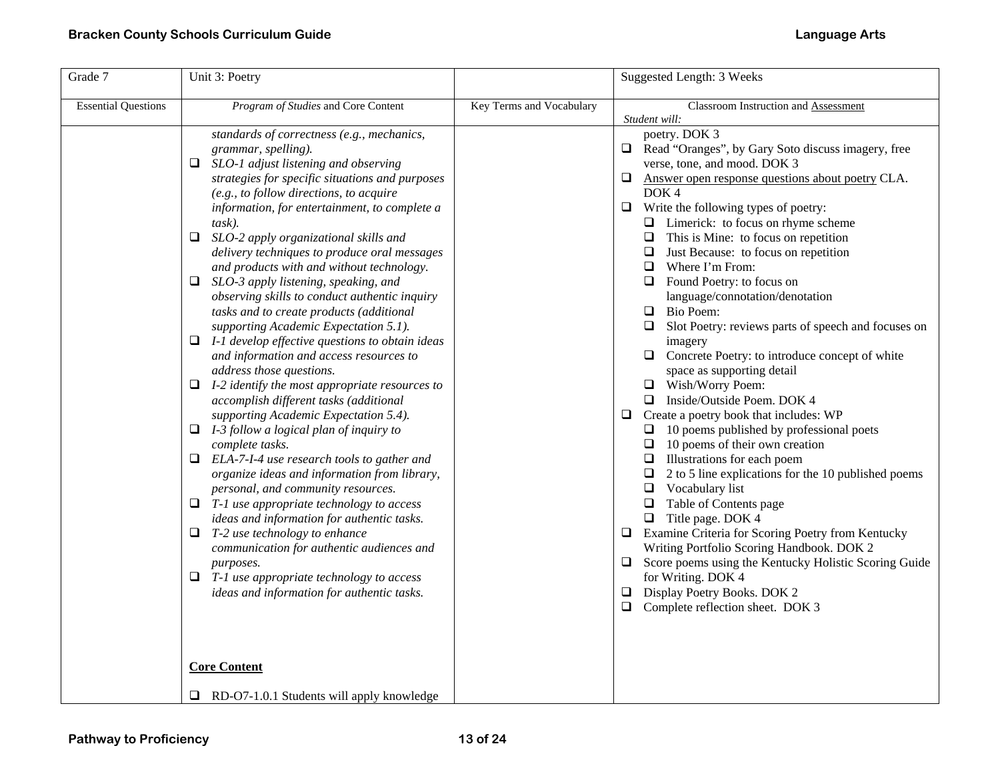| Grade 7                    | Unit 3: Poetry                                                                                                                                                                                                                                                                                                                                                                                                                                                                                                                                                                                                                                                                                                                                                                                                                                                                                                                                                                                                                                                                                                                                                                                                                                                                                                                                                                                            |                          | Suggested Length: 3 Weeks                                                                                                                                                                                                                                                                                                                                                                                                                                                                                                                                                                                                                                                                                                                                                                                                                                                                                                                                                                                                                                                                                                                                                                                                                                                                                                                                                  |
|----------------------------|-----------------------------------------------------------------------------------------------------------------------------------------------------------------------------------------------------------------------------------------------------------------------------------------------------------------------------------------------------------------------------------------------------------------------------------------------------------------------------------------------------------------------------------------------------------------------------------------------------------------------------------------------------------------------------------------------------------------------------------------------------------------------------------------------------------------------------------------------------------------------------------------------------------------------------------------------------------------------------------------------------------------------------------------------------------------------------------------------------------------------------------------------------------------------------------------------------------------------------------------------------------------------------------------------------------------------------------------------------------------------------------------------------------|--------------------------|----------------------------------------------------------------------------------------------------------------------------------------------------------------------------------------------------------------------------------------------------------------------------------------------------------------------------------------------------------------------------------------------------------------------------------------------------------------------------------------------------------------------------------------------------------------------------------------------------------------------------------------------------------------------------------------------------------------------------------------------------------------------------------------------------------------------------------------------------------------------------------------------------------------------------------------------------------------------------------------------------------------------------------------------------------------------------------------------------------------------------------------------------------------------------------------------------------------------------------------------------------------------------------------------------------------------------------------------------------------------------|
| <b>Essential Questions</b> | Program of Studies and Core Content                                                                                                                                                                                                                                                                                                                                                                                                                                                                                                                                                                                                                                                                                                                                                                                                                                                                                                                                                                                                                                                                                                                                                                                                                                                                                                                                                                       | Key Terms and Vocabulary | Classroom Instruction and Assessment                                                                                                                                                                                                                                                                                                                                                                                                                                                                                                                                                                                                                                                                                                                                                                                                                                                                                                                                                                                                                                                                                                                                                                                                                                                                                                                                       |
|                            | standards of correctness (e.g., mechanics,<br>grammar, spelling).<br>$\Box$<br>SLO-1 adjust listening and observing<br>strategies for specific situations and purposes<br>(e.g., to follow directions, to acquire<br>information, for entertainment, to complete a<br>task).<br>$\Box$<br>SLO-2 apply organizational skills and<br>delivery techniques to produce oral messages<br>and products with and without technology.<br>□<br>SLO-3 apply listening, speaking, and<br>observing skills to conduct authentic inquiry<br>tasks and to create products (additional<br>supporting Academic Expectation 5.1).<br>$\Box$ I-1 develop effective questions to obtain ideas<br>and information and access resources to<br>address those questions.<br>I-2 identify the most appropriate resources to<br>⊔<br>accomplish different tasks (additional<br>supporting Academic Expectation 5.4).<br>I-3 follow a logical plan of inquiry to<br>□<br>complete tasks.<br>$\Box$ ELA-7-I-4 use research tools to gather and<br>organize ideas and information from library,<br>personal, and community resources.<br>T-1 use appropriate technology to access<br>□<br>ideas and information for authentic tasks.<br>Q.<br>T-2 use technology to enhance<br>communication for authentic audiences and<br>purposes.<br>$\Box$ T-1 use appropriate technology to access<br>ideas and information for authentic tasks. |                          | Student will:<br>poetry. DOK 3<br>Read "Oranges", by Gary Soto discuss imagery, free<br>$\Box$<br>verse, tone, and mood. DOK 3<br>Answer open response questions about poetry CLA.<br>⊔<br>DOK <sub>4</sub><br>Write the following types of poetry:<br>⊔<br>$\Box$ Limerick: to focus on rhyme scheme<br>$\Box$ This is Mine: to focus on repetition<br>$\Box$ Just Because: to focus on repetition<br>$\Box$ Where I'm From:<br>$\Box$ Found Poetry: to focus on<br>language/connotation/denotation<br><b>Bio Poem:</b><br>Slot Poetry: reviews parts of speech and focuses on<br>imagery<br>$\Box$ Concrete Poetry: to introduce concept of white<br>space as supporting detail<br>□ Wish/Worry Poem:<br>$\Box$ Inside/Outside Poem. DOK 4<br>Create a poetry book that includes: WP<br>$\Box$<br>$\Box$ 10 poems published by professional poets<br>$\Box$ 10 poems of their own creation<br>$\Box$ Illustrations for each poem<br>$\Box$<br>2 to 5 line explications for the 10 published poems<br>$\Box$ Vocabulary list<br>Table of Contents page<br>$\Box$<br>$\Box$ Title page. DOK 4<br>Examine Criteria for Scoring Poetry from Kentucky<br>$\Box$<br>Writing Portfolio Scoring Handbook. DOK 2<br>Score poems using the Kentucky Holistic Scoring Guide<br>⊔<br>for Writing. DOK 4<br>Display Poetry Books. DOK 2<br>⊔<br>Complete reflection sheet. DOK 3<br>❏ |
|                            | <b>Core Content</b>                                                                                                                                                                                                                                                                                                                                                                                                                                                                                                                                                                                                                                                                                                                                                                                                                                                                                                                                                                                                                                                                                                                                                                                                                                                                                                                                                                                       |                          |                                                                                                                                                                                                                                                                                                                                                                                                                                                                                                                                                                                                                                                                                                                                                                                                                                                                                                                                                                                                                                                                                                                                                                                                                                                                                                                                                                            |
|                            | $\Box$ RD-O7-1.0.1 Students will apply knowledge                                                                                                                                                                                                                                                                                                                                                                                                                                                                                                                                                                                                                                                                                                                                                                                                                                                                                                                                                                                                                                                                                                                                                                                                                                                                                                                                                          |                          |                                                                                                                                                                                                                                                                                                                                                                                                                                                                                                                                                                                                                                                                                                                                                                                                                                                                                                                                                                                                                                                                                                                                                                                                                                                                                                                                                                            |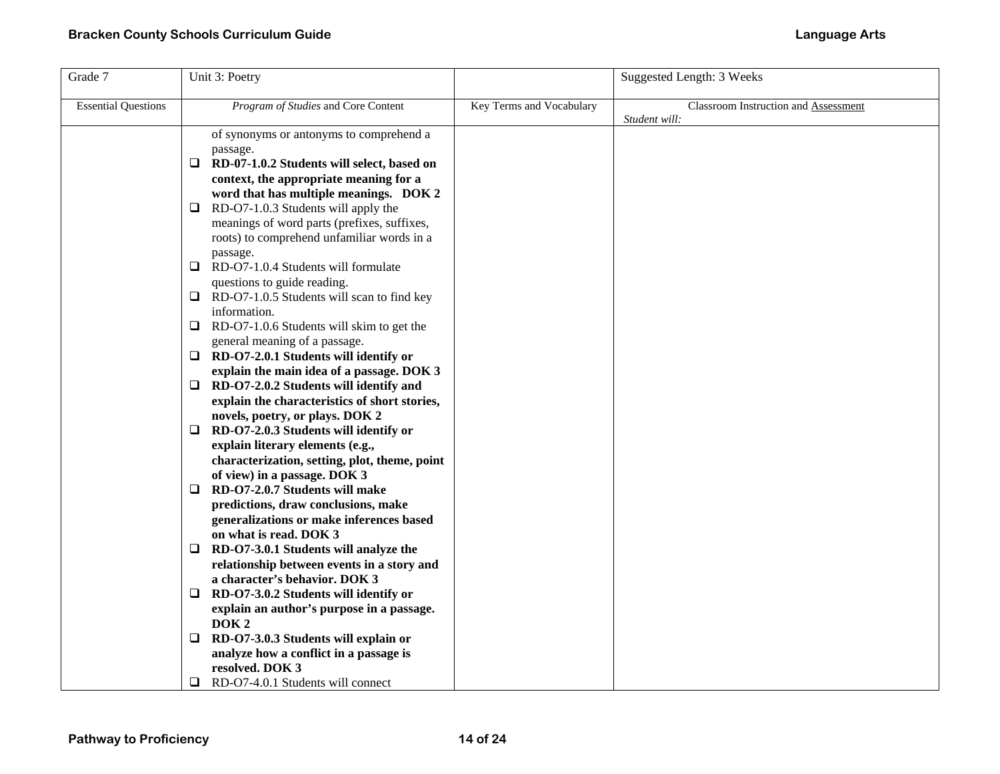| Grade 7                    | Unit 3: Poetry                                                              |                          | Suggested Length: 3 Weeks                             |
|----------------------------|-----------------------------------------------------------------------------|--------------------------|-------------------------------------------------------|
| <b>Essential Questions</b> | Program of Studies and Core Content                                         | Key Terms and Vocabulary | Classroom Instruction and Assessment<br>Student will: |
|                            | of synonyms or antonyms to comprehend a                                     |                          |                                                       |
|                            | passage.                                                                    |                          |                                                       |
|                            | RD-07-1.0.2 Students will select, based on<br>⊔                             |                          |                                                       |
|                            | context, the appropriate meaning for a                                      |                          |                                                       |
|                            | word that has multiple meanings. DOK 2                                      |                          |                                                       |
|                            | RD-O7-1.0.3 Students will apply the<br>$\Box$                               |                          |                                                       |
|                            | meanings of word parts (prefixes, suffixes,                                 |                          |                                                       |
|                            | roots) to comprehend unfamiliar words in a                                  |                          |                                                       |
|                            | passage.<br>$\Box$ RD-O7-1.0.4 Students will formulate                      |                          |                                                       |
|                            | questions to guide reading.                                                 |                          |                                                       |
|                            | $\Box$<br>RD-O7-1.0.5 Students will scan to find key                        |                          |                                                       |
|                            | information.                                                                |                          |                                                       |
|                            | $\Box$<br>RD-O7-1.0.6 Students will skim to get the                         |                          |                                                       |
|                            | general meaning of a passage.                                               |                          |                                                       |
|                            | RD-O7-2.0.1 Students will identify or<br>□                                  |                          |                                                       |
|                            | explain the main idea of a passage. DOK 3                                   |                          |                                                       |
|                            | □<br>RD-O7-2.0.2 Students will identify and                                 |                          |                                                       |
|                            | explain the characteristics of short stories,                               |                          |                                                       |
|                            | novels, poetry, or plays. DOK 2                                             |                          |                                                       |
|                            | RD-O7-2.0.3 Students will identify or<br>❏                                  |                          |                                                       |
|                            | explain literary elements (e.g.,                                            |                          |                                                       |
|                            | characterization, setting, plot, theme, point                               |                          |                                                       |
|                            | of view) in a passage. DOK 3                                                |                          |                                                       |
|                            | RD-O7-2.0.7 Students will make<br>⊔                                         |                          |                                                       |
|                            | predictions, draw conclusions, make                                         |                          |                                                       |
|                            | generalizations or make inferences based                                    |                          |                                                       |
|                            | on what is read. DOK 3                                                      |                          |                                                       |
|                            | $\Box$ RD-O7-3.0.1 Students will analyze the                                |                          |                                                       |
|                            | relationship between events in a story and<br>a character's behavior. DOK 3 |                          |                                                       |
|                            | RD-O7-3.0.2 Students will identify or<br>$\Box$                             |                          |                                                       |
|                            | explain an author's purpose in a passage.                                   |                          |                                                       |
|                            | DOK <sub>2</sub>                                                            |                          |                                                       |
|                            | RD-O7-3.0.3 Students will explain or<br>❏                                   |                          |                                                       |
|                            | analyze how a conflict in a passage is                                      |                          |                                                       |
|                            | resolved. DOK 3                                                             |                          |                                                       |
|                            | RD-O7-4.0.1 Students will connect                                           |                          |                                                       |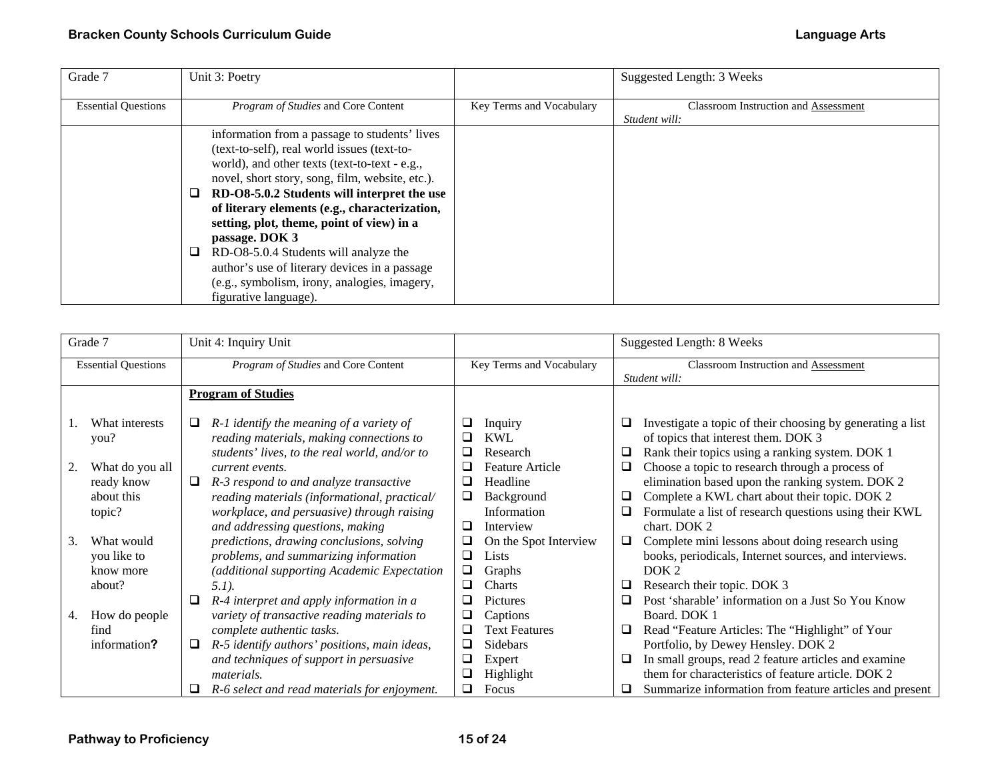| Grade 7                    | Unit 3: Poetry                                                                                                                                                                                                                                                                                                                                                                                                                                                                                                                     |                          | Suggested Length: 3 Weeks                                    |
|----------------------------|------------------------------------------------------------------------------------------------------------------------------------------------------------------------------------------------------------------------------------------------------------------------------------------------------------------------------------------------------------------------------------------------------------------------------------------------------------------------------------------------------------------------------------|--------------------------|--------------------------------------------------------------|
| <b>Essential Questions</b> | Program of Studies and Core Content                                                                                                                                                                                                                                                                                                                                                                                                                                                                                                | Key Terms and Vocabulary | <b>Classroom Instruction and Assessment</b><br>Student will: |
|                            | information from a passage to students' lives<br>(text-to-self), real world issues (text-to-<br>world), and other texts (text-to-text - e.g.,<br>novel, short story, song, film, website, etc.).<br>RD-O8-5.0.2 Students will interpret the use<br>of literary elements (e.g., characterization,<br>setting, plot, theme, point of view) in a<br>passage. DOK 3<br>RD-O8-5.0.4 Students will analyze the<br>author's use of literary devices in a passage<br>(e.g., symbolism, irony, analogies, imagery,<br>figurative language). |                          |                                                              |

| Grade 7                                                                                                                                   | Unit 4: Inquiry Unit                                                                                                                                                                                                                                                                                                                                                                                                                                                                              |                                                                                                                                                                                                                                | Suggested Length: 8 Weeks                                                                                                                                                                                                                                                                                                                                                                                                                                                                                                                                                                 |
|-------------------------------------------------------------------------------------------------------------------------------------------|---------------------------------------------------------------------------------------------------------------------------------------------------------------------------------------------------------------------------------------------------------------------------------------------------------------------------------------------------------------------------------------------------------------------------------------------------------------------------------------------------|--------------------------------------------------------------------------------------------------------------------------------------------------------------------------------------------------------------------------------|-------------------------------------------------------------------------------------------------------------------------------------------------------------------------------------------------------------------------------------------------------------------------------------------------------------------------------------------------------------------------------------------------------------------------------------------------------------------------------------------------------------------------------------------------------------------------------------------|
| <b>Essential Questions</b>                                                                                                                | Program of Studies and Core Content                                                                                                                                                                                                                                                                                                                                                                                                                                                               | Key Terms and Vocabulary                                                                                                                                                                                                       | Classroom Instruction and Assessment                                                                                                                                                                                                                                                                                                                                                                                                                                                                                                                                                      |
|                                                                                                                                           |                                                                                                                                                                                                                                                                                                                                                                                                                                                                                                   |                                                                                                                                                                                                                                | Student will:                                                                                                                                                                                                                                                                                                                                                                                                                                                                                                                                                                             |
|                                                                                                                                           | <b>Program of Studies</b>                                                                                                                                                                                                                                                                                                                                                                                                                                                                         |                                                                                                                                                                                                                                |                                                                                                                                                                                                                                                                                                                                                                                                                                                                                                                                                                                           |
| What interests<br>you?<br>What do you all<br>ready know<br>about this<br>topic?<br>What would<br>3.<br>you like to<br>know more<br>about? | $R-1$ identify the meaning of a variety of<br>⊔<br>reading materials, making connections to<br>students' lives, to the real world, and/or to<br>current events.<br>R-3 respond to and analyze transactive<br>⊔<br>reading materials (informational, practical/<br>workplace, and persuasive) through raising<br>and addressing questions, making<br>predictions, drawing conclusions, solving<br>problems, and summarizing information<br>(additional supporting Academic Expectation<br>$5.1$ ). | ⊔<br>Inquiry<br><b>KWL</b><br>⊔<br>□<br>Research<br>❏<br><b>Feature Article</b><br>Headline<br>⊔<br>❏<br>Background<br>Information<br>Interview<br>□<br>On the Spot Interview<br>⊔<br>❏<br>Lists<br>❏<br>Graphs<br>□<br>Charts | Investigate a topic of their choosing by generating a list<br>of topics that interest them. DOK 3<br>Rank their topics using a ranking system. DOK 1<br>⊔<br>Choose a topic to research through a process of<br>Q<br>elimination based upon the ranking system. DOK 2<br>Complete a KWL chart about their topic. DOK 2<br>Q<br>Formulate a list of research questions using their KWL<br>Q<br>chart. DOK 2<br>Complete mini lessons about doing research using<br>$\Box$<br>books, periodicals, Internet sources, and interviews.<br>DOK <sub>2</sub><br>Research their topic. DOK 3<br>❏ |
|                                                                                                                                           | R-4 interpret and apply information in a<br>⊔                                                                                                                                                                                                                                                                                                                                                                                                                                                     | <b>Pictures</b>                                                                                                                                                                                                                | Post 'sharable' information on a Just So You Know<br>❏                                                                                                                                                                                                                                                                                                                                                                                                                                                                                                                                    |
| How do people<br>4.                                                                                                                       | variety of transactive reading materials to                                                                                                                                                                                                                                                                                                                                                                                                                                                       | □<br>Captions                                                                                                                                                                                                                  | Board. DOK 1                                                                                                                                                                                                                                                                                                                                                                                                                                                                                                                                                                              |
| find                                                                                                                                      | complete authentic tasks.                                                                                                                                                                                                                                                                                                                                                                                                                                                                         | <b>Text Features</b><br>$\Box$                                                                                                                                                                                                 | Read "Feature Articles: The "Highlight" of Your<br>⊔                                                                                                                                                                                                                                                                                                                                                                                                                                                                                                                                      |
| information?                                                                                                                              | R-5 identify authors' positions, main ideas,<br>⊔                                                                                                                                                                                                                                                                                                                                                                                                                                                 | □<br><b>Sidebars</b>                                                                                                                                                                                                           | Portfolio, by Dewey Hensley. DOK 2                                                                                                                                                                                                                                                                                                                                                                                                                                                                                                                                                        |
|                                                                                                                                           | and techniques of support in persuasive                                                                                                                                                                                                                                                                                                                                                                                                                                                           | Expert<br>⊔                                                                                                                                                                                                                    | In small groups, read 2 feature articles and examine<br>❏                                                                                                                                                                                                                                                                                                                                                                                                                                                                                                                                 |
|                                                                                                                                           | <i>materials.</i>                                                                                                                                                                                                                                                                                                                                                                                                                                                                                 | Highlight<br>⊔                                                                                                                                                                                                                 | them for characteristics of feature article. DOK 2                                                                                                                                                                                                                                                                                                                                                                                                                                                                                                                                        |
|                                                                                                                                           | R-6 select and read materials for enjoyment.<br>⊔                                                                                                                                                                                                                                                                                                                                                                                                                                                 | Focus<br>ப                                                                                                                                                                                                                     | Summarize information from feature articles and present                                                                                                                                                                                                                                                                                                                                                                                                                                                                                                                                   |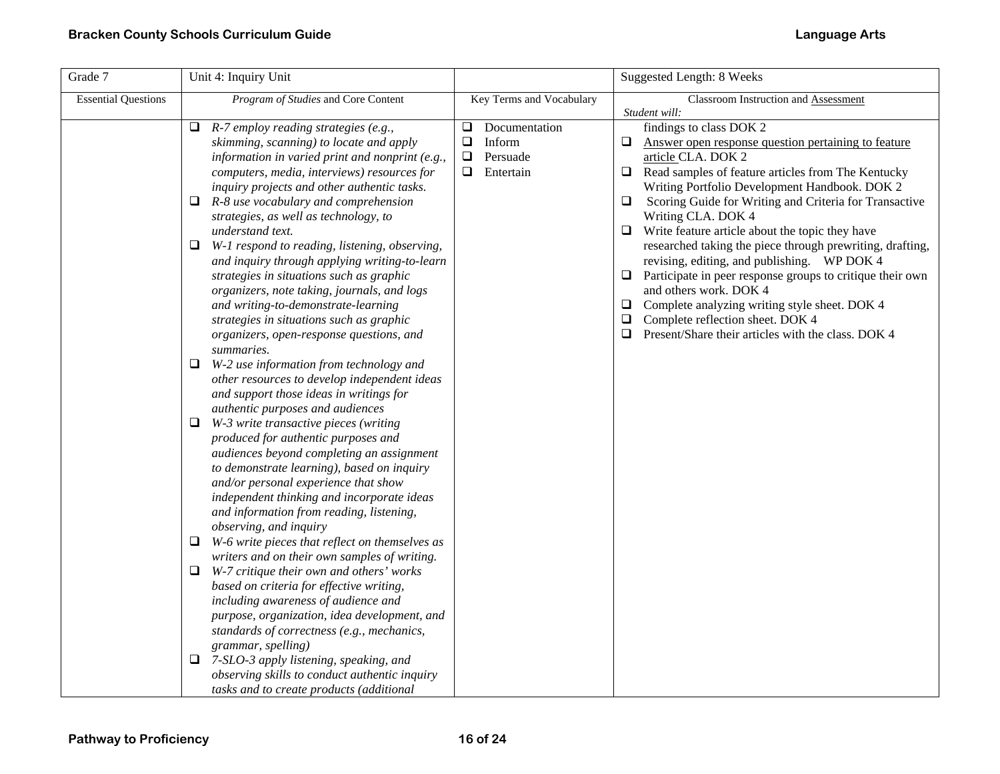| Grade 7                    | Unit 4: Inquiry Unit                                                                                                                                                                                                                                                                                                                                                                                                                                                                                                                                                                                                                                                                                                                                                                                                                                                                                                                                                                                                                                                                                                                                                                                                                                                                                                                                                                                                                                                                                                                                                 |                                                                                          | <b>Suggested Length: 8 Weeks</b>                                                                                                                                                                                                                                                                                                                                                                                                                                                                                                                                                                                                                                                                                                                                           |
|----------------------------|----------------------------------------------------------------------------------------------------------------------------------------------------------------------------------------------------------------------------------------------------------------------------------------------------------------------------------------------------------------------------------------------------------------------------------------------------------------------------------------------------------------------------------------------------------------------------------------------------------------------------------------------------------------------------------------------------------------------------------------------------------------------------------------------------------------------------------------------------------------------------------------------------------------------------------------------------------------------------------------------------------------------------------------------------------------------------------------------------------------------------------------------------------------------------------------------------------------------------------------------------------------------------------------------------------------------------------------------------------------------------------------------------------------------------------------------------------------------------------------------------------------------------------------------------------------------|------------------------------------------------------------------------------------------|----------------------------------------------------------------------------------------------------------------------------------------------------------------------------------------------------------------------------------------------------------------------------------------------------------------------------------------------------------------------------------------------------------------------------------------------------------------------------------------------------------------------------------------------------------------------------------------------------------------------------------------------------------------------------------------------------------------------------------------------------------------------------|
| <b>Essential Questions</b> | Program of Studies and Core Content                                                                                                                                                                                                                                                                                                                                                                                                                                                                                                                                                                                                                                                                                                                                                                                                                                                                                                                                                                                                                                                                                                                                                                                                                                                                                                                                                                                                                                                                                                                                  | Key Terms and Vocabulary                                                                 | Classroom Instruction and Assessment                                                                                                                                                                                                                                                                                                                                                                                                                                                                                                                                                                                                                                                                                                                                       |
|                            | $\Box$ R-7 employ reading strategies (e.g.,<br>skimming, scanning) to locate and apply<br>information in varied print and nonprint (e.g.,<br>computers, media, interviews) resources for<br>inquiry projects and other authentic tasks.<br>R-8 use vocabulary and comprehension<br>❏<br>strategies, as well as technology, to<br>understand text.<br>W-1 respond to reading, listening, observing,<br>❏<br>and inquiry through applying writing-to-learn<br>strategies in situations such as graphic<br>organizers, note taking, journals, and logs<br>and writing-to-demonstrate-learning<br>strategies in situations such as graphic<br>organizers, open-response questions, and<br>summaries.<br>W-2 use information from technology and<br>❏<br>other resources to develop independent ideas<br>and support those ideas in writings for<br>authentic purposes and audiences<br>W-3 write transactive pieces (writing<br>❏<br>produced for authentic purposes and<br>audiences beyond completing an assignment<br>to demonstrate learning), based on inquiry<br>and/or personal experience that show<br>independent thinking and incorporate ideas<br>and information from reading, listening,<br>observing, and inquiry<br>W-6 write pieces that reflect on themselves as<br>⊔<br>writers and on their own samples of writing.<br>W-7 critique their own and others' works<br>❏<br>based on criteria for effective writing,<br>including awareness of audience and<br>purpose, organization, idea development, and<br>standards of correctness (e.g., mechanics, | Documentation<br>$\Box$<br>Inform<br>$\Box$<br>$\Box$<br>Persuade<br>$\Box$<br>Entertain | Student will:<br>findings to class DOK 2<br>Q.<br>Answer open response question pertaining to feature<br>article CLA. DOK 2<br>Read samples of feature articles from The Kentucky<br>$\Box$<br>Writing Portfolio Development Handbook. DOK 2<br>Scoring Guide for Writing and Criteria for Transactive<br>❏<br>Writing CLA. DOK 4<br>Write feature article about the topic they have<br>$\Box$<br>researched taking the piece through prewriting, drafting,<br>revising, editing, and publishing. WP DOK 4<br>Participate in peer response groups to critique their own<br>$\Box$<br>and others work. DOK 4<br>Complete analyzing writing style sheet. DOK 4<br>⊔<br>Complete reflection sheet. DOK 4<br>⊔<br>$\Box$<br>Present/Share their articles with the class. DOK 4 |
|                            | grammar, spelling)<br>$\Box$ 7-SLO-3 apply listening, speaking, and<br>observing skills to conduct authentic inquiry<br>tasks and to create products (additional                                                                                                                                                                                                                                                                                                                                                                                                                                                                                                                                                                                                                                                                                                                                                                                                                                                                                                                                                                                                                                                                                                                                                                                                                                                                                                                                                                                                     |                                                                                          |                                                                                                                                                                                                                                                                                                                                                                                                                                                                                                                                                                                                                                                                                                                                                                            |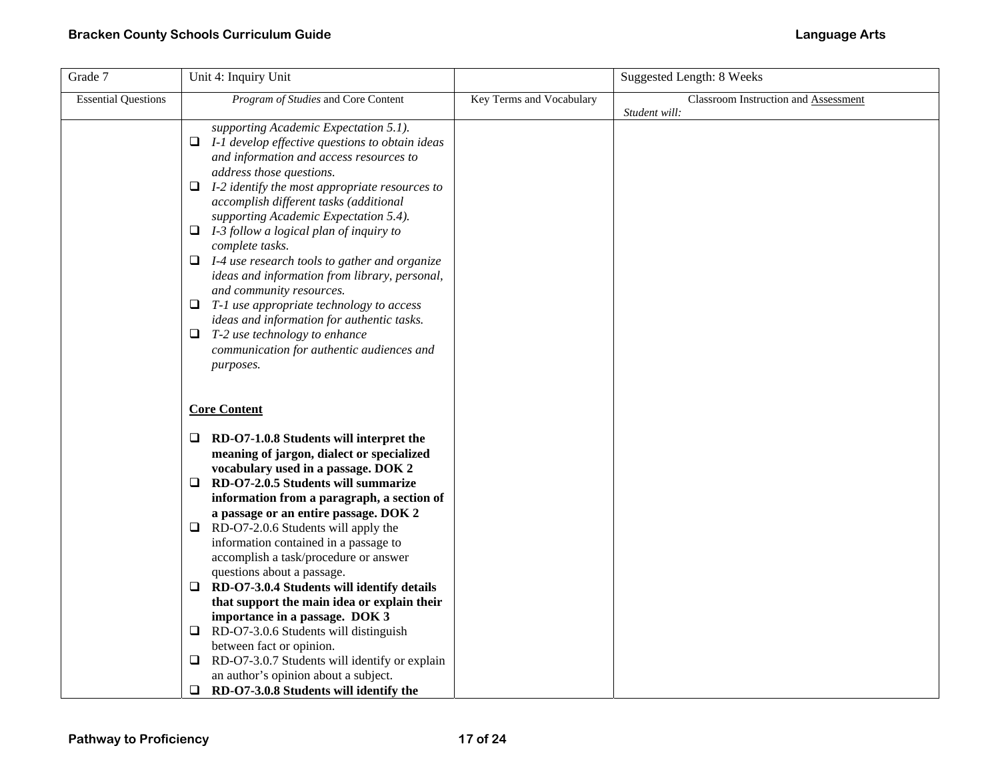| Grade 7                    | Unit 4: Inquiry Unit                                                                                                                                                                                                                                                                                                                                                                                                                                                                                                                                                                                                                                                                                                              |                          | Suggested Length: 8 Weeks                             |
|----------------------------|-----------------------------------------------------------------------------------------------------------------------------------------------------------------------------------------------------------------------------------------------------------------------------------------------------------------------------------------------------------------------------------------------------------------------------------------------------------------------------------------------------------------------------------------------------------------------------------------------------------------------------------------------------------------------------------------------------------------------------------|--------------------------|-------------------------------------------------------|
| <b>Essential Questions</b> | Program of Studies and Core Content                                                                                                                                                                                                                                                                                                                                                                                                                                                                                                                                                                                                                                                                                               | Key Terms and Vocabulary | Classroom Instruction and Assessment<br>Student will: |
|                            | supporting Academic Expectation 5.1).<br>I-1 develop effective questions to obtain ideas<br>⊔<br>and information and access resources to<br>address those questions.<br>$\Box$ I-2 identify the most appropriate resources to<br>accomplish different tasks (additional<br>supporting Academic Expectation 5.4).<br>$\Box$ I-3 follow a logical plan of inquiry to<br>complete tasks.<br>$\Box$ I-4 use research tools to gather and organize<br>ideas and information from library, personal,<br>and community resources.<br>$\Box$ T-1 use appropriate technology to access<br>ideas and information for authentic tasks.<br>$\Box$<br>T-2 use technology to enhance<br>communication for authentic audiences and<br>purposes.  |                          |                                                       |
|                            | <b>Core Content</b><br>$\Box$ RD-O7-1.0.8 Students will interpret the<br>meaning of jargon, dialect or specialized<br>vocabulary used in a passage. DOK 2<br>RD-O7-2.0.5 Students will summarize<br>❏<br>information from a paragraph, a section of<br>a passage or an entire passage. DOK 2<br>RD-O7-2.0.6 Students will apply the<br>⊔<br>information contained in a passage to<br>accomplish a task/procedure or answer<br>questions about a passage.<br>RD-O7-3.0.4 Students will identify details<br>$\Box$<br>that support the main idea or explain their<br>importance in a passage. DOK 3<br>RD-O7-3.0.6 Students will distinguish<br>⊔<br>between fact or opinion.<br>RD-O7-3.0.7 Students will identify or explain<br>⊔ |                          |                                                       |
|                            | an author's opinion about a subject.<br>RD-O7-3.0.8 Students will identify the<br>❏                                                                                                                                                                                                                                                                                                                                                                                                                                                                                                                                                                                                                                               |                          |                                                       |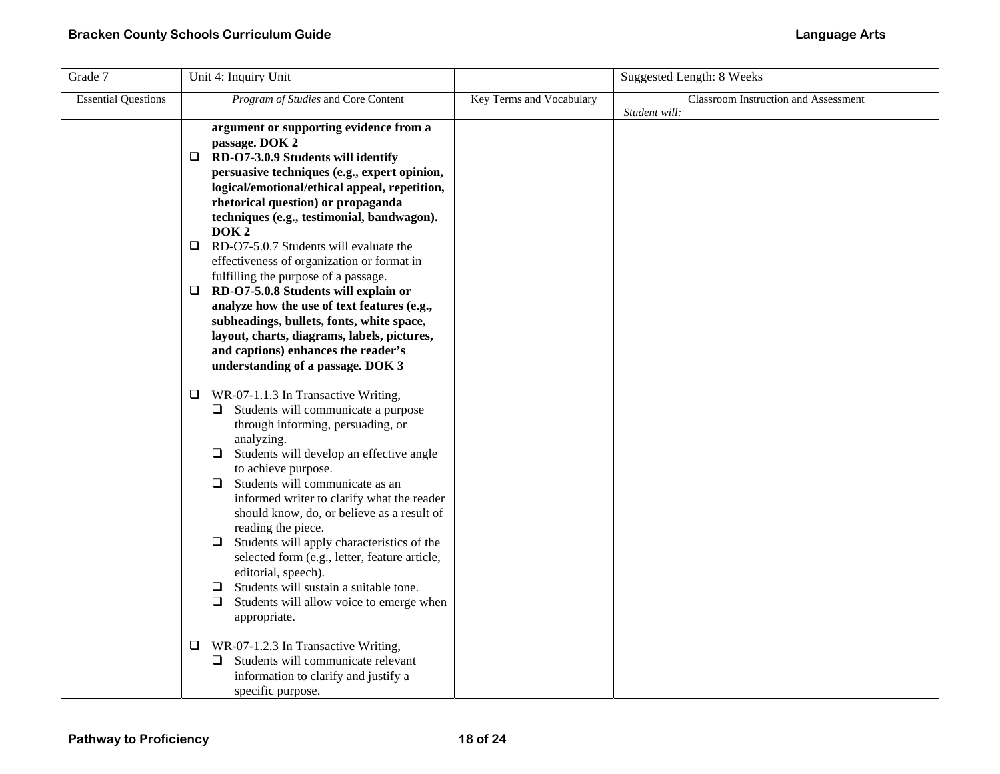| Grade 7                    | Unit 4: Inquiry Unit                                                                                                                                                                                                                                                                                                                                                                                                                                                                                                                                                                                                                                                                                                          |                          | <b>Suggested Length: 8 Weeks</b>                      |
|----------------------------|-------------------------------------------------------------------------------------------------------------------------------------------------------------------------------------------------------------------------------------------------------------------------------------------------------------------------------------------------------------------------------------------------------------------------------------------------------------------------------------------------------------------------------------------------------------------------------------------------------------------------------------------------------------------------------------------------------------------------------|--------------------------|-------------------------------------------------------|
| <b>Essential Questions</b> | Program of Studies and Core Content                                                                                                                                                                                                                                                                                                                                                                                                                                                                                                                                                                                                                                                                                           | Key Terms and Vocabulary | Classroom Instruction and Assessment<br>Student will: |
|                            | argument or supporting evidence from a<br>passage. DOK 2<br>$\Box$ RD-O7-3.0.9 Students will identify<br>persuasive techniques (e.g., expert opinion,<br>logical/emotional/ethical appeal, repetition,<br>rhetorical question) or propaganda<br>techniques (e.g., testimonial, bandwagon).<br>DOK <sub>2</sub><br>$\Box$<br>RD-O7-5.0.7 Students will evaluate the<br>effectiveness of organization or format in<br>fulfilling the purpose of a passage.<br>RD-O7-5.0.8 Students will explain or<br>Q.<br>analyze how the use of text features (e.g.,<br>subheadings, bullets, fonts, white space,<br>layout, charts, diagrams, labels, pictures,<br>and captions) enhances the reader's<br>understanding of a passage. DOK 3 |                          |                                                       |
|                            | WR-07-1.1.3 In Transactive Writing,<br>⊔<br>$\Box$ Students will communicate a purpose<br>through informing, persuading, or<br>analyzing.<br>Students will develop an effective angle<br>□<br>to achieve purpose.<br>Students will communicate as an<br>❏<br>informed writer to clarify what the reader<br>should know, do, or believe as a result of<br>reading the piece.<br>Students will apply characteristics of the<br>❏<br>selected form (e.g., letter, feature article,<br>editorial, speech).<br>Students will sustain a suitable tone.<br>❏<br>Students will allow voice to emerge when<br>⊔<br>appropriate.                                                                                                        |                          |                                                       |
|                            | WR-07-1.2.3 In Transactive Writing,<br>⊔<br>Students will communicate relevant<br>❏<br>information to clarify and justify a<br>specific purpose.                                                                                                                                                                                                                                                                                                                                                                                                                                                                                                                                                                              |                          |                                                       |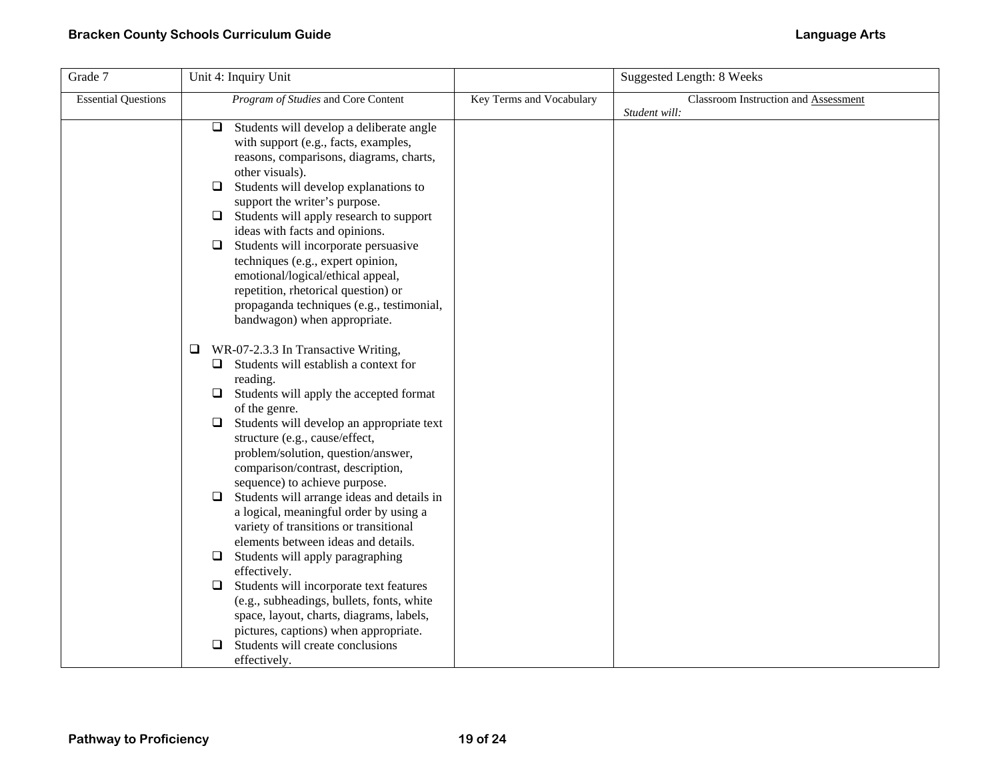| Grade 7                    | Unit 4: Inquiry Unit                                                                                                                                                                                                                                                                                                                                                                                                                                                                                                                                                                                                                                                                                                                                                                                                                                         |                          | <b>Suggested Length: 8 Weeks</b>                      |
|----------------------------|--------------------------------------------------------------------------------------------------------------------------------------------------------------------------------------------------------------------------------------------------------------------------------------------------------------------------------------------------------------------------------------------------------------------------------------------------------------------------------------------------------------------------------------------------------------------------------------------------------------------------------------------------------------------------------------------------------------------------------------------------------------------------------------------------------------------------------------------------------------|--------------------------|-------------------------------------------------------|
| <b>Essential Questions</b> | Program of Studies and Core Content                                                                                                                                                                                                                                                                                                                                                                                                                                                                                                                                                                                                                                                                                                                                                                                                                          | Key Terms and Vocabulary | Classroom Instruction and Assessment<br>Student will: |
|                            | $\Box$<br>Students will develop a deliberate angle<br>with support (e.g., facts, examples,<br>reasons, comparisons, diagrams, charts,<br>other visuals).<br>Students will develop explanations to<br>$\Box$<br>support the writer's purpose.<br>Students will apply research to support<br>❏<br>ideas with facts and opinions.<br>Students will incorporate persuasive<br>□<br>techniques (e.g., expert opinion,<br>emotional/logical/ethical appeal,<br>repetition, rhetorical question) or<br>propaganda techniques (e.g., testimonial,<br>bandwagon) when appropriate.                                                                                                                                                                                                                                                                                    |                          |                                                       |
|                            | WR-07-2.3.3 In Transactive Writing,<br>⊔<br>$\Box$ Students will establish a context for<br>reading.<br>Students will apply the accepted format<br>⊔<br>of the genre.<br>Students will develop an appropriate text<br>⊔<br>structure (e.g., cause/effect,<br>problem/solution, question/answer,<br>comparison/contrast, description,<br>sequence) to achieve purpose.<br>Students will arrange ideas and details in<br>□<br>a logical, meaningful order by using a<br>variety of transitions or transitional<br>elements between ideas and details.<br>Students will apply paragraphing<br>$\Box$<br>effectively.<br>Students will incorporate text features<br>□<br>(e.g., subheadings, bullets, fonts, white<br>space, layout, charts, diagrams, labels,<br>pictures, captions) when appropriate.<br>Students will create conclusions<br>□<br>effectively. |                          |                                                       |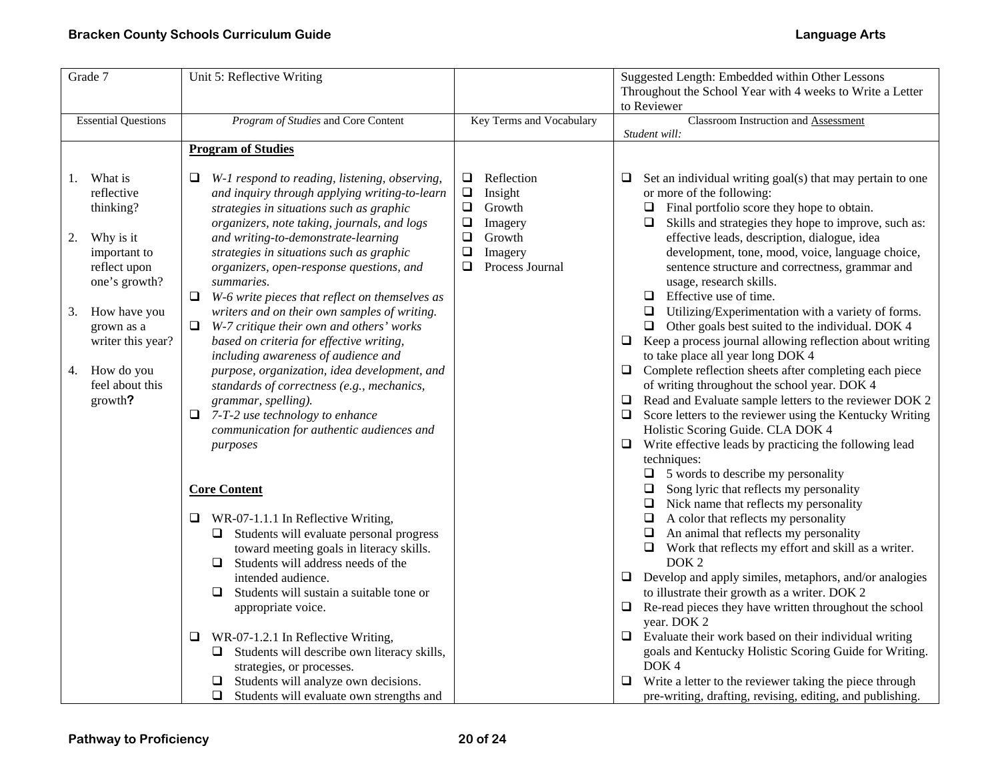| Grade 7                                                                                                                                                                                                              | Unit 5: Reflective Writing                                                                                                                                                                                                                                                                                                                                                                                                                                                                                                                                                                                                                                                                                                                                                                                                                                                                                                                                                                                                                                                                                                                                                                                                                                                                                                                       |                                                                                                                                                     | Suggested Length: Embedded within Other Lessons                                                                                                                                                                                                                                                                                                                                                                                                                                                                                                                                                                                                                                                                                                                                                                                                                                                                                                                                                                                                                                                                                                                                                                                                                                                                                                                                                                                                                                                                                                                                                                                                                                                                                                                                                                                                            |
|----------------------------------------------------------------------------------------------------------------------------------------------------------------------------------------------------------------------|--------------------------------------------------------------------------------------------------------------------------------------------------------------------------------------------------------------------------------------------------------------------------------------------------------------------------------------------------------------------------------------------------------------------------------------------------------------------------------------------------------------------------------------------------------------------------------------------------------------------------------------------------------------------------------------------------------------------------------------------------------------------------------------------------------------------------------------------------------------------------------------------------------------------------------------------------------------------------------------------------------------------------------------------------------------------------------------------------------------------------------------------------------------------------------------------------------------------------------------------------------------------------------------------------------------------------------------------------|-----------------------------------------------------------------------------------------------------------------------------------------------------|------------------------------------------------------------------------------------------------------------------------------------------------------------------------------------------------------------------------------------------------------------------------------------------------------------------------------------------------------------------------------------------------------------------------------------------------------------------------------------------------------------------------------------------------------------------------------------------------------------------------------------------------------------------------------------------------------------------------------------------------------------------------------------------------------------------------------------------------------------------------------------------------------------------------------------------------------------------------------------------------------------------------------------------------------------------------------------------------------------------------------------------------------------------------------------------------------------------------------------------------------------------------------------------------------------------------------------------------------------------------------------------------------------------------------------------------------------------------------------------------------------------------------------------------------------------------------------------------------------------------------------------------------------------------------------------------------------------------------------------------------------------------------------------------------------------------------------------------------------|
|                                                                                                                                                                                                                      |                                                                                                                                                                                                                                                                                                                                                                                                                                                                                                                                                                                                                                                                                                                                                                                                                                                                                                                                                                                                                                                                                                                                                                                                                                                                                                                                                  |                                                                                                                                                     | Throughout the School Year with 4 weeks to Write a Letter                                                                                                                                                                                                                                                                                                                                                                                                                                                                                                                                                                                                                                                                                                                                                                                                                                                                                                                                                                                                                                                                                                                                                                                                                                                                                                                                                                                                                                                                                                                                                                                                                                                                                                                                                                                                  |
|                                                                                                                                                                                                                      |                                                                                                                                                                                                                                                                                                                                                                                                                                                                                                                                                                                                                                                                                                                                                                                                                                                                                                                                                                                                                                                                                                                                                                                                                                                                                                                                                  |                                                                                                                                                     | to Reviewer                                                                                                                                                                                                                                                                                                                                                                                                                                                                                                                                                                                                                                                                                                                                                                                                                                                                                                                                                                                                                                                                                                                                                                                                                                                                                                                                                                                                                                                                                                                                                                                                                                                                                                                                                                                                                                                |
| <b>Essential Questions</b>                                                                                                                                                                                           | Program of Studies and Core Content                                                                                                                                                                                                                                                                                                                                                                                                                                                                                                                                                                                                                                                                                                                                                                                                                                                                                                                                                                                                                                                                                                                                                                                                                                                                                                              | Key Terms and Vocabulary                                                                                                                            | Classroom Instruction and Assessment                                                                                                                                                                                                                                                                                                                                                                                                                                                                                                                                                                                                                                                                                                                                                                                                                                                                                                                                                                                                                                                                                                                                                                                                                                                                                                                                                                                                                                                                                                                                                                                                                                                                                                                                                                                                                       |
|                                                                                                                                                                                                                      | <b>Program of Studies</b>                                                                                                                                                                                                                                                                                                                                                                                                                                                                                                                                                                                                                                                                                                                                                                                                                                                                                                                                                                                                                                                                                                                                                                                                                                                                                                                        |                                                                                                                                                     | Student will:                                                                                                                                                                                                                                                                                                                                                                                                                                                                                                                                                                                                                                                                                                                                                                                                                                                                                                                                                                                                                                                                                                                                                                                                                                                                                                                                                                                                                                                                                                                                                                                                                                                                                                                                                                                                                                              |
|                                                                                                                                                                                                                      |                                                                                                                                                                                                                                                                                                                                                                                                                                                                                                                                                                                                                                                                                                                                                                                                                                                                                                                                                                                                                                                                                                                                                                                                                                                                                                                                                  |                                                                                                                                                     |                                                                                                                                                                                                                                                                                                                                                                                                                                                                                                                                                                                                                                                                                                                                                                                                                                                                                                                                                                                                                                                                                                                                                                                                                                                                                                                                                                                                                                                                                                                                                                                                                                                                                                                                                                                                                                                            |
| What is<br>1.<br>reflective<br>thinking?<br>Why is it<br>2.<br>important to<br>reflect upon<br>one's growth?<br>How have you<br>3.<br>grown as a<br>writer this year?<br>4. How do you<br>feel about this<br>growth? | W-1 respond to reading, listening, observing,<br>and inquiry through applying writing-to-learn<br>strategies in situations such as graphic<br>organizers, note taking, journals, and logs<br>and writing-to-demonstrate-learning<br>strategies in situations such as graphic<br>organizers, open-response questions, and<br>summaries.<br>□<br>W-6 write pieces that reflect on themselves as<br>writers and on their own samples of writing.<br>W-7 critique their own and others' works<br>❏<br>based on criteria for effective writing,<br>including awareness of audience and<br>purpose, organization, idea development, and<br>standards of correctness (e.g., mechanics,<br>grammar, spelling).<br>7-T-2 use technology to enhance<br>⊔<br>communication for authentic audiences and<br>purposes<br><b>Core Content</b><br>WR-07-1.1.1 In Reflective Writing,<br>u.<br>$\Box$ Students will evaluate personal progress<br>toward meeting goals in literacy skills.<br>Students will address needs of the<br>⊔<br>intended audience.<br>Students will sustain a suitable tone or<br>$\Box$<br>appropriate voice.<br>WR-07-1.2.1 In Reflective Writing,<br>⊔<br>Students will describe own literacy skills,<br>⊔<br>strategies, or processes.<br>Students will analyze own decisions.<br>$\Box$<br>Students will evaluate own strengths and | Reflection<br>$\Box$<br>$\Box$<br>Insight<br>$\Box$<br>Growth<br>$\Box$<br>Imagery<br>$\Box$<br>Growth<br>$\Box$<br>Imagery<br>❏<br>Process Journal | Set an individual writing goal(s) that may pertain to one<br>⊔<br>or more of the following:<br>$\Box$ Final portfolio score they hope to obtain.<br>Skills and strategies they hope to improve, such as:<br>$\Box$<br>effective leads, description, dialogue, idea<br>development, tone, mood, voice, language choice,<br>sentence structure and correctness, grammar and<br>usage, research skills.<br>$\Box$ Effective use of time.<br>$\Box$ Utilizing/Experimentation with a variety of forms.<br>$\Box$ Other goals best suited to the individual. DOK 4<br>Keep a process journal allowing reflection about writing<br>$\Box$<br>to take place all year long DOK 4<br>$\Box$ Complete reflection sheets after completing each piece<br>of writing throughout the school year. DOK 4<br>Read and Evaluate sample letters to the reviewer DOK 2<br>Score letters to the reviewer using the Kentucky Writing<br>⊔<br>Holistic Scoring Guide. CLA DOK 4<br>Write effective leads by practicing the following lead<br>$\Box$<br>techniques:<br>$\Box$ 5 words to describe my personality<br>$\Box$ Song lyric that reflects my personality<br>$\Box$ Nick name that reflects my personality<br>$\Box$ A color that reflects my personality<br>$\Box$ An animal that reflects my personality<br>Work that reflects my effort and skill as a writer.<br>$\Box$<br>DOK <sub>2</sub><br>$\Box$ Develop and apply similes, metaphors, and/or analogies<br>to illustrate their growth as a writer. DOK 2<br>Re-read pieces they have written throughout the school<br>$\Box$<br>year. DOK 2<br>Evaluate their work based on their individual writing<br>❏<br>goals and Kentucky Holistic Scoring Guide for Writing.<br>DOK <sub>4</sub><br>Write a letter to the reviewer taking the piece through<br>pre-writing, drafting, revising, editing, and publishing. |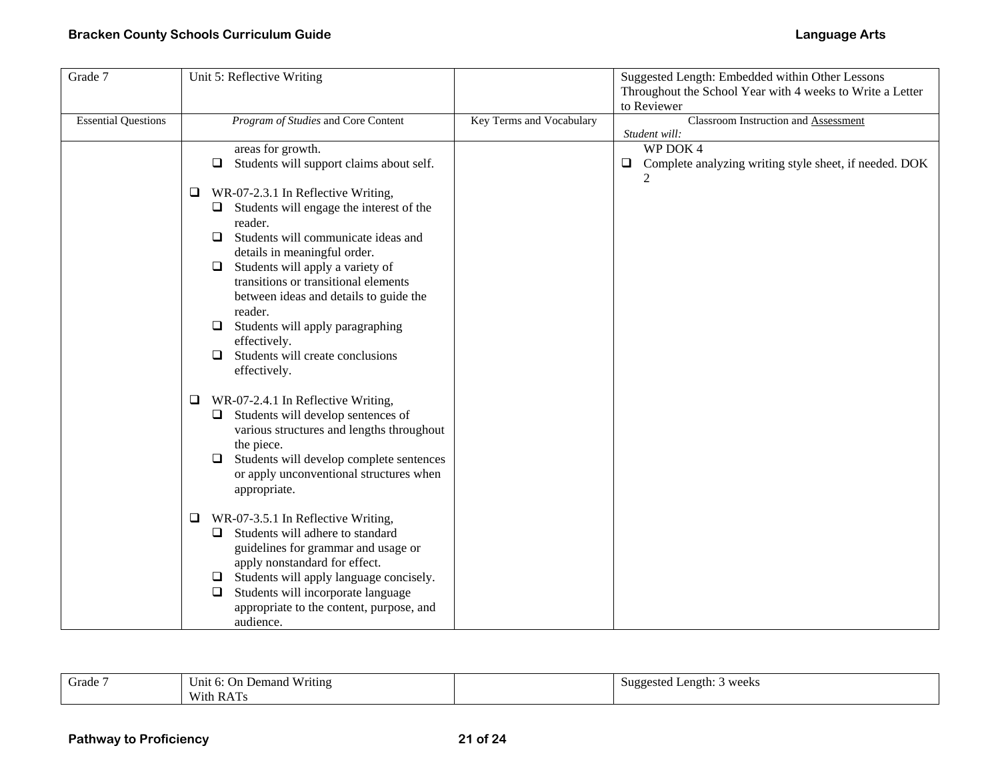| Grade 7                    | Unit 5: Reflective Writing                                                                        |                          | Suggested Length: Embedded within Other Lessons                          |
|----------------------------|---------------------------------------------------------------------------------------------------|--------------------------|--------------------------------------------------------------------------|
|                            |                                                                                                   |                          | Throughout the School Year with 4 weeks to Write a Letter<br>to Reviewer |
| <b>Essential Questions</b> | Program of Studies and Core Content                                                               | Key Terms and Vocabulary | Classroom Instruction and Assessment<br>Student will:                    |
|                            | areas for growth.                                                                                 |                          | WP DOK 4                                                                 |
|                            | Students will support claims about self.<br>$\Box$                                                |                          | Complete analyzing writing style sheet, if needed. DOK<br>$\Box$         |
|                            | WR-07-2.3.1 In Reflective Writing,<br>⊔                                                           |                          |                                                                          |
|                            | Students will engage the interest of the<br>⊔<br>reader.                                          |                          |                                                                          |
|                            | Students will communicate ideas and<br>$\Box$                                                     |                          |                                                                          |
|                            | details in meaningful order.                                                                      |                          |                                                                          |
|                            | Students will apply a variety of<br>$\Box$<br>transitions or transitional elements                |                          |                                                                          |
|                            | between ideas and details to guide the                                                            |                          |                                                                          |
|                            | reader.                                                                                           |                          |                                                                          |
|                            | Students will apply paragraphing<br>$\Box$                                                        |                          |                                                                          |
|                            | effectively.                                                                                      |                          |                                                                          |
|                            | Students will create conclusions<br>$\Box$<br>effectively.                                        |                          |                                                                          |
|                            |                                                                                                   |                          |                                                                          |
|                            | WR-07-2.4.1 In Reflective Writing,<br>$\Box$<br>Students will develop sentences of<br>❏           |                          |                                                                          |
|                            | various structures and lengths throughout                                                         |                          |                                                                          |
|                            | the piece.                                                                                        |                          |                                                                          |
|                            | Students will develop complete sentences<br>⊔                                                     |                          |                                                                          |
|                            | or apply unconventional structures when                                                           |                          |                                                                          |
|                            | appropriate.                                                                                      |                          |                                                                          |
|                            | WR-07-3.5.1 In Reflective Writing,<br>$\Box$                                                      |                          |                                                                          |
|                            | Students will adhere to standard<br>⊔                                                             |                          |                                                                          |
|                            | guidelines for grammar and usage or                                                               |                          |                                                                          |
|                            | apply nonstandard for effect.                                                                     |                          |                                                                          |
|                            | Students will apply language concisely.<br>$\Box$<br>Students will incorporate language<br>$\Box$ |                          |                                                                          |
|                            | appropriate to the content, purpose, and                                                          |                          |                                                                          |
|                            | audience.                                                                                         |                          |                                                                          |

| Grade | Writing<br>Unit 6:<br>: On Demand | t Length: 3 weeks<br>Suggested<br>$\cdots$ |
|-------|-----------------------------------|--------------------------------------------|
|       | With RAT                          |                                            |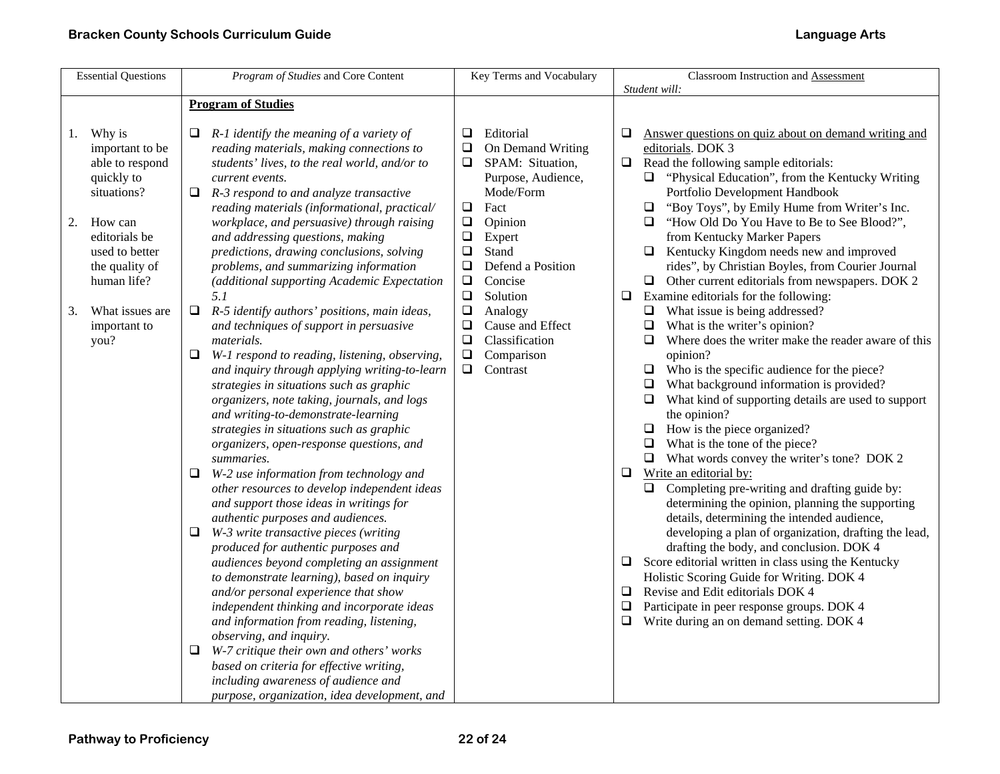| <b>Essential Questions</b>                                                                                                                         | Program of Studies and Core Content                                                                                                                                                                                                                                                                                                                                                                                                                                                                                                                                                                                                                                                                                                                                                                                                                                                                                                                                                                                                                                                                                                                                                                                                           | Key Terms and Vocabulary                                                                                                                                                                                               | Classroom Instruction and Assessment                                                                                                                                                                                                                                                                                                                                                                                                                                                                                                                                                                                                                                                                                                                                                                                                                                                                                                                                                                                                                                                                                                                     |
|----------------------------------------------------------------------------------------------------------------------------------------------------|-----------------------------------------------------------------------------------------------------------------------------------------------------------------------------------------------------------------------------------------------------------------------------------------------------------------------------------------------------------------------------------------------------------------------------------------------------------------------------------------------------------------------------------------------------------------------------------------------------------------------------------------------------------------------------------------------------------------------------------------------------------------------------------------------------------------------------------------------------------------------------------------------------------------------------------------------------------------------------------------------------------------------------------------------------------------------------------------------------------------------------------------------------------------------------------------------------------------------------------------------|------------------------------------------------------------------------------------------------------------------------------------------------------------------------------------------------------------------------|----------------------------------------------------------------------------------------------------------------------------------------------------------------------------------------------------------------------------------------------------------------------------------------------------------------------------------------------------------------------------------------------------------------------------------------------------------------------------------------------------------------------------------------------------------------------------------------------------------------------------------------------------------------------------------------------------------------------------------------------------------------------------------------------------------------------------------------------------------------------------------------------------------------------------------------------------------------------------------------------------------------------------------------------------------------------------------------------------------------------------------------------------------|
| 1. Why is<br>important to be<br>able to respond<br>quickly to<br>situations?<br>How can<br>2.<br>editorials be<br>used to better<br>the quality of | <b>Program of Studies</b><br>$R-1$ identify the meaning of a variety of<br>❏<br>reading materials, making connections to<br>students' lives, to the real world, and/or to<br>current events.<br>R-3 respond to and analyze transactive<br>Q.<br>reading materials (informational, practical/<br>workplace, and persuasive) through raising<br>and addressing questions, making<br>predictions, drawing conclusions, solving<br>problems, and summarizing information                                                                                                                                                                                                                                                                                                                                                                                                                                                                                                                                                                                                                                                                                                                                                                          | Editorial<br>⊔<br>On Demand Writing<br>❏<br>$\Box$<br>SPAM: Situation,<br>Purpose, Audience,<br>Mode/Form<br>$\Box$<br>Fact<br>$\Box$<br>Opinion<br>$\Box$<br>Expert<br>$\Box$<br>Stand<br>$\Box$<br>Defend a Position | Student will:<br>Answer questions on quiz about on demand writing and<br>❏<br>editorials. DOK 3<br>Read the following sample editorials:<br>$\Box$<br>$\Box$ "Physical Education", from the Kentucky Writing<br>Portfolio Development Handbook<br>"Boy Toys", by Emily Hume from Writer's Inc.<br>$\Box$<br>"How Old Do You Have to Be to See Blood?",<br>$\Box$<br>from Kentucky Marker Papers<br>$\Box$ Kentucky Kingdom needs new and improved<br>rides", by Christian Boyles, from Courier Journal                                                                                                                                                                                                                                                                                                                                                                                                                                                                                                                                                                                                                                                   |
| human life?<br>What issues are<br>3.<br>important to<br>you?                                                                                       | (additional supporting Academic Expectation<br>5.1<br>$\Box$<br>R-5 identify authors' positions, main ideas,<br>and techniques of support in persuasive<br><i>materials.</i><br>W-1 respond to reading, listening, observing,<br>Q.<br>and inquiry through applying writing-to-learn<br>strategies in situations such as graphic<br>organizers, note taking, journals, and logs<br>and writing-to-demonstrate-learning<br>strategies in situations such as graphic<br>organizers, open-response questions, and<br>summaries.<br>W-2 use information from technology and<br>❏<br>other resources to develop independent ideas<br>and support those ideas in writings for<br>authentic purposes and audiences.<br>W-3 write transactive pieces (writing<br>⊔<br>produced for authentic purposes and<br>audiences beyond completing an assignment<br>to demonstrate learning), based on inquiry<br>and/or personal experience that show<br>independent thinking and incorporate ideas<br>and information from reading, listening,<br>observing, and inquiry.<br>W-7 critique their own and others' works<br>⊔<br>based on criteria for effective writing,<br>including awareness of audience and<br>purpose, organization, idea development, and | $\Box$<br>Concise<br>$\Box$<br>Solution<br>$\Box$<br>Analogy<br>$\Box$<br>Cause and Effect<br>$\Box$<br>Classification<br>Comparison<br>$\Box$<br>$\Box$<br>Contrast                                                   | $\Box$ Other current editorials from newspapers. DOK 2<br>Examine editorials for the following:<br>$\Box$<br>$\Box$ What issue is being addressed?<br>What is the writer's opinion?<br>$\Box$<br>Where does the writer make the reader aware of this<br>opinion?<br>$\Box$ Who is the specific audience for the piece?<br>What background information is provided?<br>$\Box$<br>$\Box$ What kind of supporting details are used to support<br>the opinion?<br>$\Box$ How is the piece organized?<br>$\Box$ What is the tone of the piece?<br>$\Box$ What words convey the writer's tone? DOK 2<br>Write an editorial by:<br>❏<br>Completing pre-writing and drafting guide by:<br>$\Box$<br>determining the opinion, planning the supporting<br>details, determining the intended audience,<br>developing a plan of organization, drafting the lead,<br>drafting the body, and conclusion. DOK 4<br>$\Box$ Score editorial written in class using the Kentucky<br>Holistic Scoring Guide for Writing. DOK 4<br>Revise and Edit editorials DOK 4<br>⊔<br>Participate in peer response groups. DOK 4<br>0<br>Write during an on demand setting. DOK 4<br>❏ |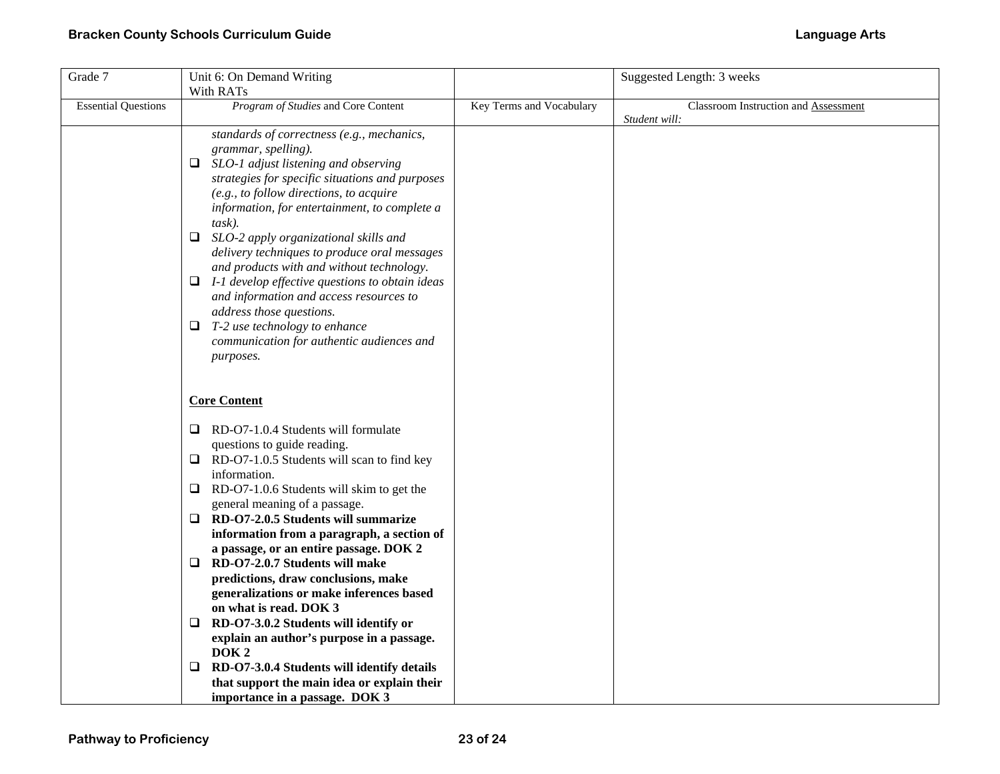| Grade 7                    | Unit 6: On Demand Writing                                                                      |                          | Suggested Length: 3 weeks            |
|----------------------------|------------------------------------------------------------------------------------------------|--------------------------|--------------------------------------|
|                            | With RATs                                                                                      |                          |                                      |
| <b>Essential Questions</b> | Program of Studies and Core Content                                                            | Key Terms and Vocabulary | Classroom Instruction and Assessment |
|                            |                                                                                                |                          | Student will:                        |
|                            | standards of correctness (e.g., mechanics,                                                     |                          |                                      |
|                            | grammar, spelling).                                                                            |                          |                                      |
|                            | $\Box$ SLO-1 adjust listening and observing<br>strategies for specific situations and purposes |                          |                                      |
|                            | (e.g., to follow directions, to acquire                                                        |                          |                                      |
|                            | information, for entertainment, to complete a                                                  |                          |                                      |
|                            | task).                                                                                         |                          |                                      |
|                            | SLO-2 apply organizational skills and<br>$\Box$                                                |                          |                                      |
|                            | delivery techniques to produce oral messages                                                   |                          |                                      |
|                            | and products with and without technology.                                                      |                          |                                      |
|                            | $\Box$ I-1 develop effective questions to obtain ideas                                         |                          |                                      |
|                            | and information and access resources to                                                        |                          |                                      |
|                            | address those questions.                                                                       |                          |                                      |
|                            | $\Box$ T-2 use technology to enhance                                                           |                          |                                      |
|                            | communication for authentic audiences and                                                      |                          |                                      |
|                            | purposes.                                                                                      |                          |                                      |
|                            |                                                                                                |                          |                                      |
|                            | <b>Core Content</b>                                                                            |                          |                                      |
|                            |                                                                                                |                          |                                      |
|                            | $\Box$ RD-O7-1.0.4 Students will formulate                                                     |                          |                                      |
|                            | questions to guide reading.                                                                    |                          |                                      |
|                            | $\Box$ RD-O7-1.0.5 Students will scan to find key                                              |                          |                                      |
|                            | information.                                                                                   |                          |                                      |
|                            | RD-O7-1.0.6 Students will skim to get the<br>Q.                                                |                          |                                      |
|                            | general meaning of a passage.                                                                  |                          |                                      |
|                            | RD-O7-2.0.5 Students will summarize<br>Q.                                                      |                          |                                      |
|                            | information from a paragraph, a section of                                                     |                          |                                      |
|                            | a passage, or an entire passage. DOK 2                                                         |                          |                                      |
|                            | $\Box$ RD-O7-2.0.7 Students will make                                                          |                          |                                      |
|                            | predictions, draw conclusions, make                                                            |                          |                                      |
|                            | generalizations or make inferences based                                                       |                          |                                      |
|                            | on what is read. DOK 3                                                                         |                          |                                      |
|                            | RD-O7-3.0.2 Students will identify or<br>❏<br>explain an author's purpose in a passage.        |                          |                                      |
|                            | DOK <sub>2</sub>                                                                               |                          |                                      |
|                            | RD-O7-3.0.4 Students will identify details<br>Q.                                               |                          |                                      |
|                            | that support the main idea or explain their                                                    |                          |                                      |
|                            | importance in a passage. DOK 3                                                                 |                          |                                      |